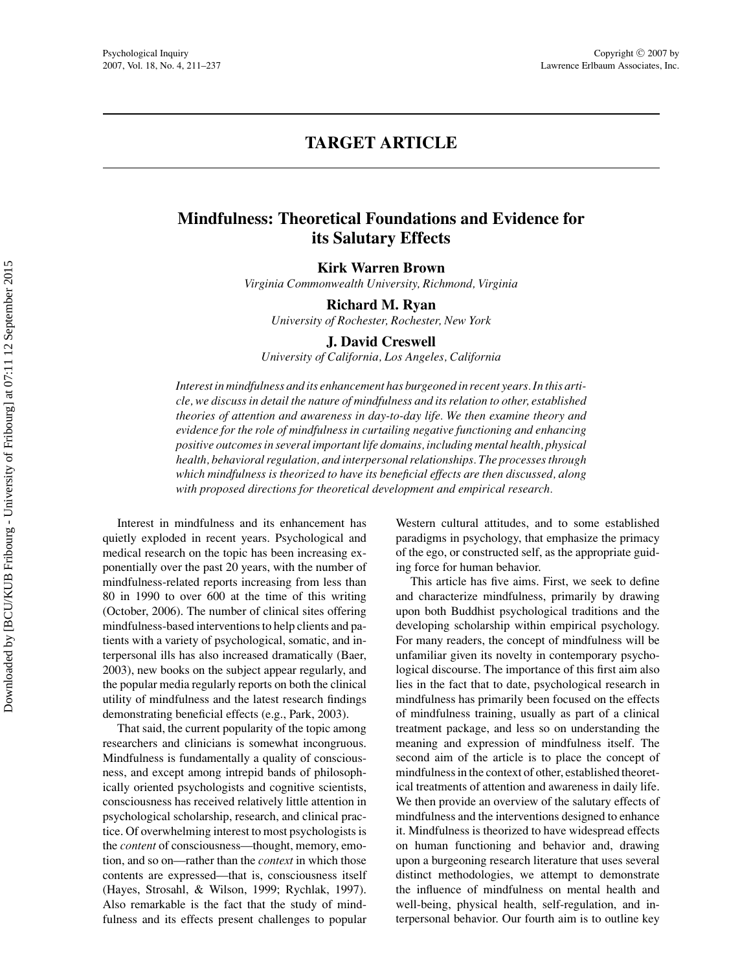# **TARGET ARTICLE**

# **Mindfulness: Theoretical Foundations and Evidence for its Salutary Effects**

## **Kirk Warren Brown**

*Virginia Commonwealth University, Richmond, Virginia*

# **Richard M. Ryan**

*University of Rochester, Rochester, New York*

# **J. David Creswell**

*University of California, Los Angeles, California*

*Interest in mindfulness and its enhancement has burgeoned in recent years. In this article, we discuss in detail the nature of mindfulness and its relation to other, established theories of attention and awareness in day-to-day life. We then examine theory and evidence for the role of mindfulness in curtailing negative functioning and enhancing positive outcomes in several important life domains, including mental health, physical health, behavioral regulation, and interpersonal relationships. The processes through which mindfulness is theorized to have its beneficial effects are then discussed, along with proposed directions for theoretical development and empirical research.*

Interest in mindfulness and its enhancement has quietly exploded in recent years. Psychological and medical research on the topic has been increasing exponentially over the past 20 years, with the number of mindfulness-related reports increasing from less than 80 in 1990 to over 600 at the time of this writing (October, 2006). The number of clinical sites offering mindfulness-based interventions to help clients and patients with a variety of psychological, somatic, and interpersonal ills has also increased dramatically (Baer, 2003), new books on the subject appear regularly, and the popular media regularly reports on both the clinical utility of mindfulness and the latest research findings demonstrating beneficial effects (e.g., Park, 2003).

That said, the current popularity of the topic among researchers and clinicians is somewhat incongruous. Mindfulness is fundamentally a quality of consciousness, and except among intrepid bands of philosophically oriented psychologists and cognitive scientists, consciousness has received relatively little attention in psychological scholarship, research, and clinical practice. Of overwhelming interest to most psychologists is the *content* of consciousness—thought, memory, emotion, and so on—rather than the *context* in which those contents are expressed—that is, consciousness itself (Hayes, Strosahl, & Wilson, 1999; Rychlak, 1997). Also remarkable is the fact that the study of mindfulness and its effects present challenges to popular Western cultural attitudes, and to some established paradigms in psychology, that emphasize the primacy of the ego, or constructed self, as the appropriate guiding force for human behavior.

This article has five aims. First, we seek to define and characterize mindfulness, primarily by drawing upon both Buddhist psychological traditions and the developing scholarship within empirical psychology. For many readers, the concept of mindfulness will be unfamiliar given its novelty in contemporary psychological discourse. The importance of this first aim also lies in the fact that to date, psychological research in mindfulness has primarily been focused on the effects of mindfulness training, usually as part of a clinical treatment package, and less so on understanding the meaning and expression of mindfulness itself. The second aim of the article is to place the concept of mindfulness in the context of other, established theoretical treatments of attention and awareness in daily life. We then provide an overview of the salutary effects of mindfulness and the interventions designed to enhance it. Mindfulness is theorized to have widespread effects on human functioning and behavior and, drawing upon a burgeoning research literature that uses several distinct methodologies, we attempt to demonstrate the influence of mindfulness on mental health and well-being, physical health, self-regulation, and interpersonal behavior. Our fourth aim is to outline key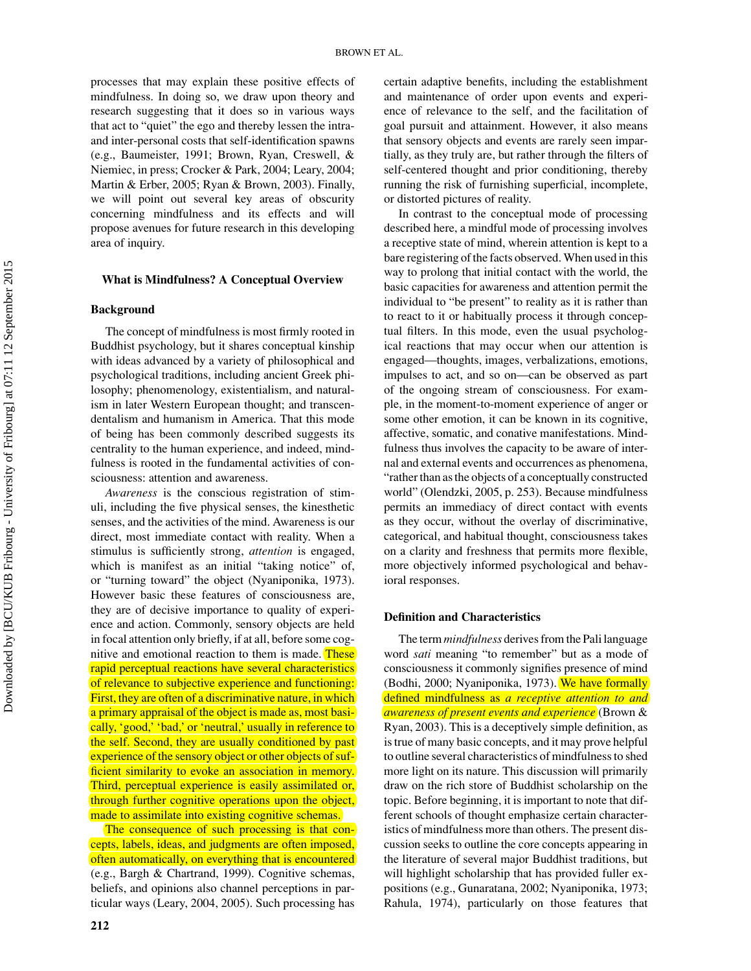processes that may explain these positive effects of mindfulness. In doing so, we draw upon theory and research suggesting that it does so in various ways that act to "quiet" the ego and thereby lessen the intraand inter-personal costs that self-identification spawns (e.g., Baumeister, 1991; Brown, Ryan, Creswell, & Niemiec, in press; Crocker & Park, 2004; Leary, 2004; Martin & Erber, 2005; Ryan & Brown, 2003). Finally, we will point out several key areas of obscurity concerning mindfulness and its effects and will propose avenues for future research in this developing area of inquiry.

# **What is Mindfulness? A Conceptual Overview**

## **Background**

The concept of mindfulness is most firmly rooted in Buddhist psychology, but it shares conceptual kinship with ideas advanced by a variety of philosophical and psychological traditions, including ancient Greek philosophy; phenomenology, existentialism, and naturalism in later Western European thought; and transcendentalism and humanism in America. That this mode of being has been commonly described suggests its centrality to the human experience, and indeed, mindfulness is rooted in the fundamental activities of consciousness: attention and awareness.

*Awareness* is the conscious registration of stimuli, including the five physical senses, the kinesthetic senses, and the activities of the mind. Awareness is our direct, most immediate contact with reality. When a stimulus is sufficiently strong, *attention* is engaged, which is manifest as an initial "taking notice" of, or "turning toward" the object (Nyaniponika, 1973). However basic these features of consciousness are, they are of decisive importance to quality of experience and action. Commonly, sensory objects are held in focal attention only briefly, if at all, before some cognitive and emotional reaction to them is made. These rapid perceptual reactions have several characteristics of relevance to subjective experience and functioning: First, they are often of a discriminative nature, in which a primary appraisal of the object is made as, most basically, 'good,' 'bad,' or 'neutral,' usually in reference to the self. Second, they are usually conditioned by past experience of the sensory object or other objects of sufficient similarity to evoke an association in memory. Third, perceptual experience is easily assimilated or, through further cognitive operations upon the object, made to assimilate into existing cognitive schemas.

The consequence of such processing is that concepts, labels, ideas, and judgments are often imposed, often automatically, on everything that is encountered (e.g., Bargh & Chartrand, 1999). Cognitive schemas, beliefs, and opinions also channel perceptions in particular ways (Leary, 2004, 2005). Such processing has

certain adaptive benefits, including the establishment and maintenance of order upon events and experience of relevance to the self, and the facilitation of goal pursuit and attainment. However, it also means that sensory objects and events are rarely seen impartially, as they truly are, but rather through the filters of self-centered thought and prior conditioning, thereby running the risk of furnishing superficial, incomplete, or distorted pictures of reality.

In contrast to the conceptual mode of processing described here, a mindful mode of processing involves a receptive state of mind, wherein attention is kept to a bare registering of the facts observed. When used in this way to prolong that initial contact with the world, the basic capacities for awareness and attention permit the individual to "be present" to reality as it is rather than to react to it or habitually process it through conceptual filters. In this mode, even the usual psychological reactions that may occur when our attention is engaged—thoughts, images, verbalizations, emotions, impulses to act, and so on—can be observed as part of the ongoing stream of consciousness. For example, in the moment-to-moment experience of anger or some other emotion, it can be known in its cognitive, affective, somatic, and conative manifestations. Mindfulness thus involves the capacity to be aware of internal and external events and occurrences as phenomena, "rather than as the objects of a conceptually constructed world" (Olendzki, 2005, p. 253). Because mindfulness permits an immediacy of direct contact with events as they occur, without the overlay of discriminative, categorical, and habitual thought, consciousness takes on a clarity and freshness that permits more flexible, more objectively informed psychological and behavioral responses.

#### **Definition and Characteristics**

The term*mindfulness* derives from the Pali language word *sati* meaning "to remember" but as a mode of consciousness it commonly signifies presence of mind (Bodhi, 2000; Nyaniponika, 1973). We have formally defined mindfulness as *a receptive attention to and awareness of present events and experience* (Brown & Ryan, 2003). This is a deceptively simple definition, as is true of many basic concepts, and it may prove helpful to outline several characteristics of mindfulness to shed more light on its nature. This discussion will primarily draw on the rich store of Buddhist scholarship on the topic. Before beginning, it is important to note that different schools of thought emphasize certain characteristics of mindfulness more than others. The present discussion seeks to outline the core concepts appearing in the literature of several major Buddhist traditions, but will highlight scholarship that has provided fuller expositions (e.g., Gunaratana, 2002; Nyaniponika, 1973; Rahula, 1974), particularly on those features that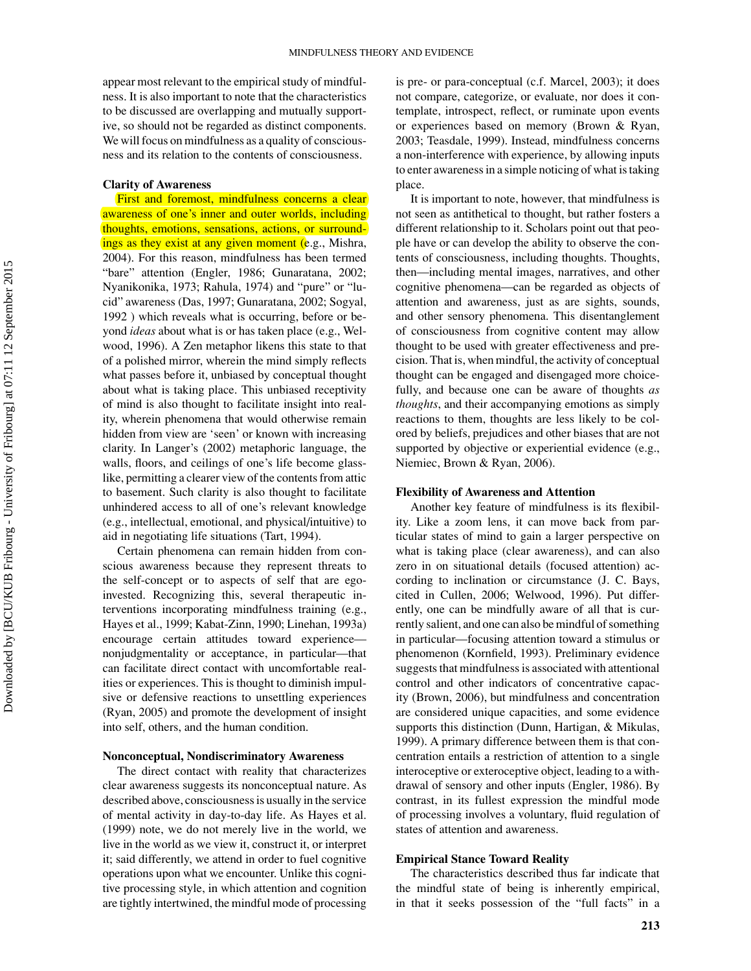appear most relevant to the empirical study of mindfulness. It is also important to note that the characteristics to be discussed are overlapping and mutually supportive, so should not be regarded as distinct components. We will focus on mindfulness as a quality of consciousness and its relation to the contents of consciousness.

#### **Clarity of Awareness**

First and foremost, mindfulness concerns a clear awareness of one's inner and outer worlds, including thoughts, emotions, sensations, actions, or surroundings as they exist at any given moment (e.g., Mishra, 2004). For this reason, mindfulness has been termed "bare" attention (Engler, 1986; Gunaratana, 2002; Nyanikonika, 1973; Rahula, 1974) and "pure" or "lucid" awareness (Das, 1997; Gunaratana, 2002; Sogyal, 1992 ) which reveals what is occurring, before or beyond *ideas* about what is or has taken place (e.g., Welwood, 1996). A Zen metaphor likens this state to that of a polished mirror, wherein the mind simply reflects what passes before it, unbiased by conceptual thought about what is taking place. This unbiased receptivity of mind is also thought to facilitate insight into reality, wherein phenomena that would otherwise remain hidden from view are 'seen' or known with increasing clarity. In Langer's (2002) metaphoric language, the walls, floors, and ceilings of one's life become glasslike, permitting a clearer view of the contents from attic to basement. Such clarity is also thought to facilitate unhindered access to all of one's relevant knowledge (e.g., intellectual, emotional, and physical/intuitive) to aid in negotiating life situations (Tart, 1994).

Certain phenomena can remain hidden from conscious awareness because they represent threats to the self-concept or to aspects of self that are egoinvested. Recognizing this, several therapeutic interventions incorporating mindfulness training (e.g., Hayes et al., 1999; Kabat-Zinn, 1990; Linehan, 1993a) encourage certain attitudes toward experience nonjudgmentality or acceptance, in particular—that can facilitate direct contact with uncomfortable realities or experiences. This is thought to diminish impulsive or defensive reactions to unsettling experiences (Ryan, 2005) and promote the development of insight into self, others, and the human condition.

#### **Nonconceptual, Nondiscriminatory Awareness**

The direct contact with reality that characterizes clear awareness suggests its nonconceptual nature. As described above, consciousness is usually in the service of mental activity in day-to-day life. As Hayes et al. (1999) note, we do not merely live in the world, we live in the world as we view it, construct it, or interpret it; said differently, we attend in order to fuel cognitive operations upon what we encounter. Unlike this cognitive processing style, in which attention and cognition are tightly intertwined, the mindful mode of processing

is pre- or para-conceptual (c.f. Marcel, 2003); it does not compare, categorize, or evaluate, nor does it contemplate, introspect, reflect, or ruminate upon events or experiences based on memory (Brown & Ryan, 2003; Teasdale, 1999). Instead, mindfulness concerns a non-interference with experience, by allowing inputs to enter awareness in a simple noticing of what is taking place.

It is important to note, however, that mindfulness is not seen as antithetical to thought, but rather fosters a different relationship to it. Scholars point out that people have or can develop the ability to observe the contents of consciousness, including thoughts. Thoughts, then—including mental images, narratives, and other cognitive phenomena—can be regarded as objects of attention and awareness, just as are sights, sounds, and other sensory phenomena. This disentanglement of consciousness from cognitive content may allow thought to be used with greater effectiveness and precision. That is, when mindful, the activity of conceptual thought can be engaged and disengaged more choicefully, and because one can be aware of thoughts *as thoughts*, and their accompanying emotions as simply reactions to them, thoughts are less likely to be colored by beliefs, prejudices and other biases that are not supported by objective or experiential evidence (e.g., Niemiec, Brown & Ryan, 2006).

## **Flexibility of Awareness and Attention**

Another key feature of mindfulness is its flexibility. Like a zoom lens, it can move back from particular states of mind to gain a larger perspective on what is taking place (clear awareness), and can also zero in on situational details (focused attention) according to inclination or circumstance (J. C. Bays, cited in Cullen, 2006; Welwood, 1996). Put differently, one can be mindfully aware of all that is currently salient, and one can also be mindful of something in particular—focusing attention toward a stimulus or phenomenon (Kornfield, 1993). Preliminary evidence suggests that mindfulness is associated with attentional control and other indicators of concentrative capacity (Brown, 2006), but mindfulness and concentration are considered unique capacities, and some evidence supports this distinction (Dunn, Hartigan, & Mikulas, 1999). A primary difference between them is that concentration entails a restriction of attention to a single interoceptive or exteroceptive object, leading to a withdrawal of sensory and other inputs (Engler, 1986). By contrast, in its fullest expression the mindful mode of processing involves a voluntary, fluid regulation of states of attention and awareness.

#### **Empirical Stance Toward Reality**

The characteristics described thus far indicate that the mindful state of being is inherently empirical, in that it seeks possession of the "full facts" in a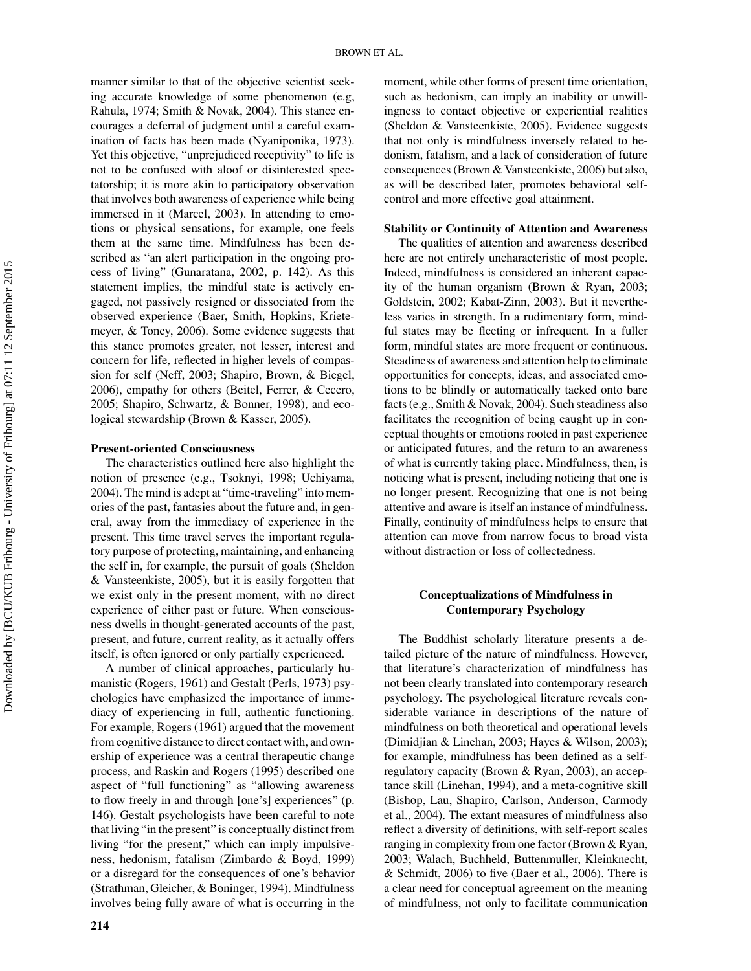manner similar to that of the objective scientist seeking accurate knowledge of some phenomenon (e.g, Rahula, 1974; Smith & Novak, 2004). This stance encourages a deferral of judgment until a careful examination of facts has been made (Nyaniponika, 1973). Yet this objective, "unprejudiced receptivity" to life is not to be confused with aloof or disinterested spectatorship; it is more akin to participatory observation that involves both awareness of experience while being immersed in it (Marcel, 2003). In attending to emotions or physical sensations, for example, one feels them at the same time. Mindfulness has been described as "an alert participation in the ongoing process of living" (Gunaratana, 2002, p. 142). As this statement implies, the mindful state is actively engaged, not passively resigned or dissociated from the observed experience (Baer, Smith, Hopkins, Krietemeyer, & Toney, 2006). Some evidence suggests that this stance promotes greater, not lesser, interest and concern for life, reflected in higher levels of compassion for self (Neff, 2003; Shapiro, Brown, & Biegel, 2006), empathy for others (Beitel, Ferrer, & Cecero, 2005; Shapiro, Schwartz, & Bonner, 1998), and ecological stewardship (Brown & Kasser, 2005).

#### **Present-oriented Consciousness**

The characteristics outlined here also highlight the notion of presence (e.g., Tsoknyi, 1998; Uchiyama, 2004). The mind is adept at "time-traveling" into memories of the past, fantasies about the future and, in general, away from the immediacy of experience in the present. This time travel serves the important regulatory purpose of protecting, maintaining, and enhancing the self in, for example, the pursuit of goals (Sheldon & Vansteenkiste, 2005), but it is easily forgotten that we exist only in the present moment, with no direct experience of either past or future. When consciousness dwells in thought-generated accounts of the past, present, and future, current reality, as it actually offers itself, is often ignored or only partially experienced.

A number of clinical approaches, particularly humanistic (Rogers, 1961) and Gestalt (Perls, 1973) psychologies have emphasized the importance of immediacy of experiencing in full, authentic functioning. For example, Rogers (1961) argued that the movement from cognitive distance to direct contact with, and ownership of experience was a central therapeutic change process, and Raskin and Rogers (1995) described one aspect of "full functioning" as "allowing awareness to flow freely in and through [one's] experiences" (p. 146). Gestalt psychologists have been careful to note that living "in the present" is conceptually distinct from living "for the present," which can imply impulsiveness, hedonism, fatalism (Zimbardo & Boyd, 1999) or a disregard for the consequences of one's behavior (Strathman, Gleicher, & Boninger, 1994). Mindfulness involves being fully aware of what is occurring in the moment, while other forms of present time orientation, such as hedonism, can imply an inability or unwillingness to contact objective or experiential realities (Sheldon & Vansteenkiste, 2005). Evidence suggests that not only is mindfulness inversely related to hedonism, fatalism, and a lack of consideration of future consequences (Brown & Vansteenkiste, 2006) but also, as will be described later, promotes behavioral selfcontrol and more effective goal attainment.

#### **Stability or Continuity of Attention and Awareness**

The qualities of attention and awareness described here are not entirely uncharacteristic of most people. Indeed, mindfulness is considered an inherent capacity of the human organism (Brown & Ryan, 2003; Goldstein, 2002; Kabat-Zinn, 2003). But it nevertheless varies in strength. In a rudimentary form, mindful states may be fleeting or infrequent. In a fuller form, mindful states are more frequent or continuous. Steadiness of awareness and attention help to eliminate opportunities for concepts, ideas, and associated emotions to be blindly or automatically tacked onto bare facts (e.g., Smith & Novak, 2004). Such steadiness also facilitates the recognition of being caught up in conceptual thoughts or emotions rooted in past experience or anticipated futures, and the return to an awareness of what is currently taking place. Mindfulness, then, is noticing what is present, including noticing that one is no longer present. Recognizing that one is not being attentive and aware is itself an instance of mindfulness. Finally, continuity of mindfulness helps to ensure that attention can move from narrow focus to broad vista without distraction or loss of collectedness.

# **Conceptualizations of Mindfulness in Contemporary Psychology**

The Buddhist scholarly literature presents a detailed picture of the nature of mindfulness. However, that literature's characterization of mindfulness has not been clearly translated into contemporary research psychology. The psychological literature reveals considerable variance in descriptions of the nature of mindfulness on both theoretical and operational levels (Dimidjian & Linehan, 2003; Hayes & Wilson, 2003); for example, mindfulness has been defined as a selfregulatory capacity (Brown & Ryan, 2003), an acceptance skill (Linehan, 1994), and a meta-cognitive skill (Bishop, Lau, Shapiro, Carlson, Anderson, Carmody et al., 2004). The extant measures of mindfulness also reflect a diversity of definitions, with self-report scales ranging in complexity from one factor (Brown & Ryan, 2003; Walach, Buchheld, Buttenmuller, Kleinknecht, & Schmidt, 2006) to five (Baer et al., 2006). There is a clear need for conceptual agreement on the meaning of mindfulness, not only to facilitate communication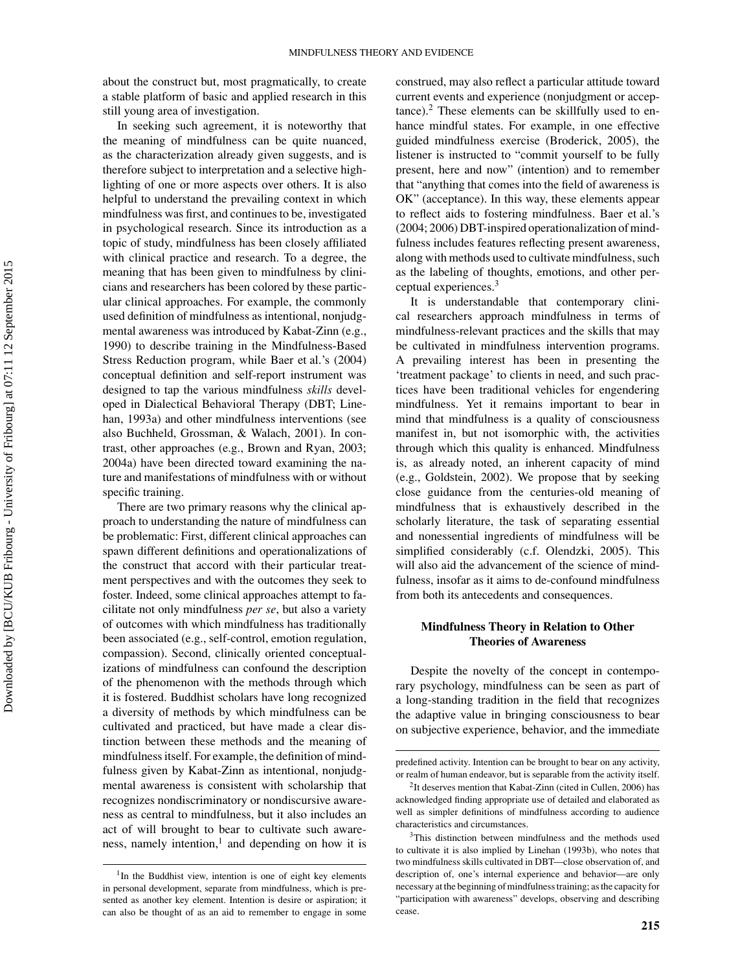about the construct but, most pragmatically, to create a stable platform of basic and applied research in this still young area of investigation.

In seeking such agreement, it is noteworthy that the meaning of mindfulness can be quite nuanced, as the characterization already given suggests, and is therefore subject to interpretation and a selective highlighting of one or more aspects over others. It is also helpful to understand the prevailing context in which mindfulness was first, and continues to be, investigated in psychological research. Since its introduction as a topic of study, mindfulness has been closely affiliated with clinical practice and research. To a degree, the meaning that has been given to mindfulness by clinicians and researchers has been colored by these particular clinical approaches. For example, the commonly used definition of mindfulness as intentional, nonjudgmental awareness was introduced by Kabat-Zinn (e.g., 1990) to describe training in the Mindfulness-Based Stress Reduction program, while Baer et al.'s (2004) conceptual definition and self-report instrument was designed to tap the various mindfulness *skills* developed in Dialectical Behavioral Therapy (DBT; Linehan, 1993a) and other mindfulness interventions (see also Buchheld, Grossman, & Walach, 2001). In contrast, other approaches (e.g., Brown and Ryan, 2003; 2004a) have been directed toward examining the nature and manifestations of mindfulness with or without specific training.

There are two primary reasons why the clinical approach to understanding the nature of mindfulness can be problematic: First, different clinical approaches can spawn different definitions and operationalizations of the construct that accord with their particular treatment perspectives and with the outcomes they seek to foster. Indeed, some clinical approaches attempt to facilitate not only mindfulness *per se*, but also a variety of outcomes with which mindfulness has traditionally been associated (e.g., self-control, emotion regulation, compassion). Second, clinically oriented conceptualizations of mindfulness can confound the description of the phenomenon with the methods through which it is fostered. Buddhist scholars have long recognized a diversity of methods by which mindfulness can be cultivated and practiced, but have made a clear distinction between these methods and the meaning of mindfulness itself. For example, the definition of mindfulness given by Kabat-Zinn as intentional, nonjudgmental awareness is consistent with scholarship that recognizes nondiscriminatory or nondiscursive awareness as central to mindfulness, but it also includes an act of will brought to bear to cultivate such awareness, namely intention, $<sup>1</sup>$  and depending on how it is</sup> construed, may also reflect a particular attitude toward current events and experience (nonjudgment or accep $t$ ance).<sup>2</sup> These elements can be skillfully used to enhance mindful states. For example, in one effective guided mindfulness exercise (Broderick, 2005), the listener is instructed to "commit yourself to be fully present, here and now" (intention) and to remember that "anything that comes into the field of awareness is OK" (acceptance). In this way, these elements appear to reflect aids to fostering mindfulness. Baer et al.'s (2004; 2006) DBT-inspired operationalization of mindfulness includes features reflecting present awareness, along with methods used to cultivate mindfulness, such as the labeling of thoughts, emotions, and other perceptual experiences.<sup>3</sup>

It is understandable that contemporary clinical researchers approach mindfulness in terms of mindfulness-relevant practices and the skills that may be cultivated in mindfulness intervention programs. A prevailing interest has been in presenting the 'treatment package' to clients in need, and such practices have been traditional vehicles for engendering mindfulness. Yet it remains important to bear in mind that mindfulness is a quality of consciousness manifest in, but not isomorphic with, the activities through which this quality is enhanced. Mindfulness is, as already noted, an inherent capacity of mind (e.g., Goldstein, 2002). We propose that by seeking close guidance from the centuries-old meaning of mindfulness that is exhaustively described in the scholarly literature, the task of separating essential and nonessential ingredients of mindfulness will be simplified considerably (c.f. Olendzki, 2005). This will also aid the advancement of the science of mindfulness, insofar as it aims to de-confound mindfulness from both its antecedents and consequences.

# **Mindfulness Theory in Relation to Other Theories of Awareness**

Despite the novelty of the concept in contemporary psychology, mindfulness can be seen as part of a long-standing tradition in the field that recognizes the adaptive value in bringing consciousness to bear on subjective experience, behavior, and the immediate

<sup>&</sup>lt;sup>1</sup>In the Buddhist view, intention is one of eight key elements in personal development, separate from mindfulness, which is presented as another key element. Intention is desire or aspiration; it can also be thought of as an aid to remember to engage in some

predefined activity. Intention can be brought to bear on any activity, or realm of human endeavor, but is separable from the activity itself.

<sup>2</sup>It deserves mention that Kabat-Zinn (cited in Cullen, 2006) has acknowledged finding appropriate use of detailed and elaborated as well as simpler definitions of mindfulness according to audience characteristics and circumstances.

<sup>3</sup>This distinction between mindfulness and the methods used to cultivate it is also implied by Linehan (1993b), who notes that two mindfulness skills cultivated in DBT—close observation of, and description of, one's internal experience and behavior—are only necessary at the beginning of mindfulness training; as the capacity for "participation with awareness" develops, observing and describing cease.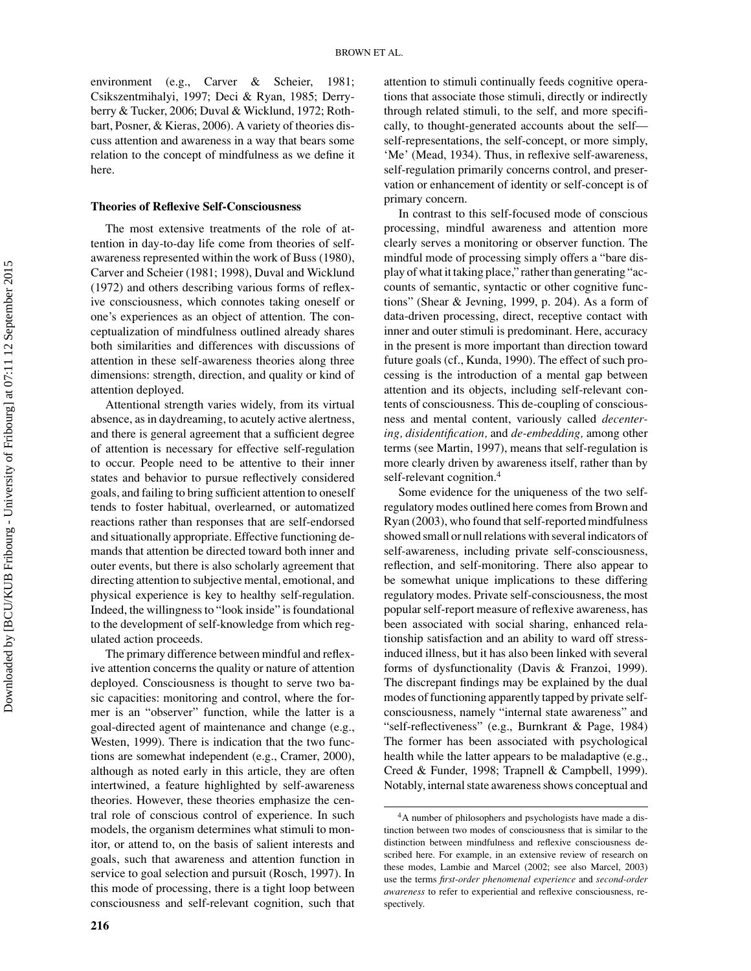environment (e.g., Carver & Scheier, 1981; Csikszentmihalyi, 1997; Deci & Ryan, 1985; Derryberry & Tucker, 2006; Duval & Wicklund, 1972; Rothbart, Posner, & Kieras, 2006). A variety of theories discuss attention and awareness in a way that bears some relation to the concept of mindfulness as we define it here.

#### **Theories of Reflexive Self-Consciousness**

The most extensive treatments of the role of attention in day-to-day life come from theories of selfawareness represented within the work of Buss (1980), Carver and Scheier (1981; 1998), Duval and Wicklund (1972) and others describing various forms of reflexive consciousness, which connotes taking oneself or one's experiences as an object of attention. The conceptualization of mindfulness outlined already shares both similarities and differences with discussions of attention in these self-awareness theories along three dimensions: strength, direction, and quality or kind of attention deployed.

Attentional strength varies widely, from its virtual absence, as in daydreaming, to acutely active alertness, and there is general agreement that a sufficient degree of attention is necessary for effective self-regulation to occur. People need to be attentive to their inner states and behavior to pursue reflectively considered goals, and failing to bring sufficient attention to oneself tends to foster habitual, overlearned, or automatized reactions rather than responses that are self-endorsed and situationally appropriate. Effective functioning demands that attention be directed toward both inner and outer events, but there is also scholarly agreement that directing attention to subjective mental, emotional, and physical experience is key to healthy self-regulation. Indeed, the willingness to "look inside" is foundational to the development of self-knowledge from which regulated action proceeds.

The primary difference between mindful and reflexive attention concerns the quality or nature of attention deployed. Consciousness is thought to serve two basic capacities: monitoring and control, where the former is an "observer" function, while the latter is a goal-directed agent of maintenance and change (e.g., Westen, 1999). There is indication that the two functions are somewhat independent (e.g., Cramer, 2000), although as noted early in this article, they are often intertwined, a feature highlighted by self-awareness theories. However, these theories emphasize the central role of conscious control of experience. In such models, the organism determines what stimuli to monitor, or attend to, on the basis of salient interests and goals, such that awareness and attention function in service to goal selection and pursuit (Rosch, 1997). In this mode of processing, there is a tight loop between consciousness and self-relevant cognition, such that attention to stimuli continually feeds cognitive operations that associate those stimuli, directly or indirectly through related stimuli, to the self, and more specifically, to thought-generated accounts about the self self-representations, the self-concept, or more simply, 'Me' (Mead, 1934). Thus, in reflexive self-awareness, self-regulation primarily concerns control, and preservation or enhancement of identity or self-concept is of primary concern.

In contrast to this self-focused mode of conscious processing, mindful awareness and attention more clearly serves a monitoring or observer function. The mindful mode of processing simply offers a "bare display of what it taking place," rather than generating "accounts of semantic, syntactic or other cognitive functions" (Shear & Jevning, 1999, p. 204). As a form of data-driven processing, direct, receptive contact with inner and outer stimuli is predominant. Here, accuracy in the present is more important than direction toward future goals (cf., Kunda, 1990). The effect of such processing is the introduction of a mental gap between attention and its objects, including self-relevant contents of consciousness. This de-coupling of consciousness and mental content, variously called *decentering, disidentification,* and *de-embedding,* among other terms (see Martin, 1997), means that self-regulation is more clearly driven by awareness itself, rather than by self-relevant cognition.<sup>4</sup>

Some evidence for the uniqueness of the two selfregulatory modes outlined here comes from Brown and Ryan (2003), who found that self-reported mindfulness showed small or null relations with several indicators of self-awareness, including private self-consciousness, reflection, and self-monitoring. There also appear to be somewhat unique implications to these differing regulatory modes. Private self-consciousness, the most popular self-report measure of reflexive awareness, has been associated with social sharing, enhanced relationship satisfaction and an ability to ward off stressinduced illness, but it has also been linked with several forms of dysfunctionality (Davis & Franzoi, 1999). The discrepant findings may be explained by the dual modes of functioning apparently tapped by private selfconsciousness, namely "internal state awareness" and "self-reflectiveness" (e.g., Burnkrant & Page, 1984) The former has been associated with psychological health while the latter appears to be maladaptive (e.g., Creed & Funder, 1998; Trapnell & Campbell, 1999). Notably, internal state awareness shows conceptual and

<sup>4</sup>A number of philosophers and psychologists have made a distinction between two modes of consciousness that is similar to the distinction between mindfulness and reflexive consciousness described here. For example, in an extensive review of research on these modes, Lambie and Marcel (2002; see also Marcel, 2003) use the terms *first-order phenomenal experience* and *second-order awareness* to refer to experiential and reflexive consciousness, respectively.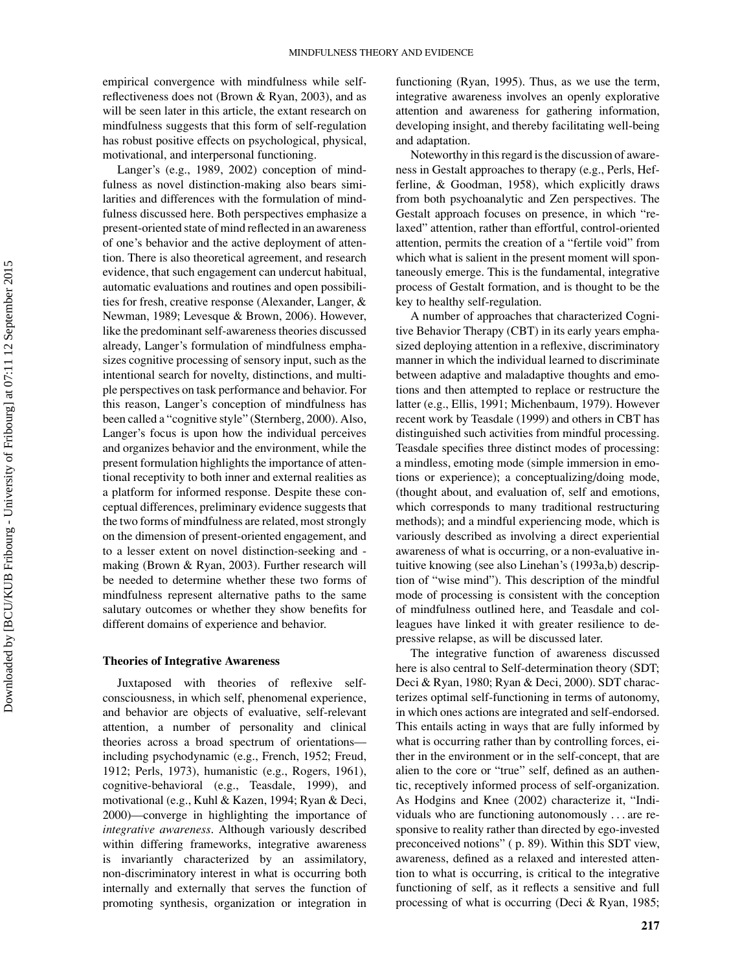empirical convergence with mindfulness while selfreflectiveness does not (Brown & Ryan, 2003), and as will be seen later in this article, the extant research on mindfulness suggests that this form of self-regulation has robust positive effects on psychological, physical, motivational, and interpersonal functioning.

Langer's (e.g., 1989, 2002) conception of mindfulness as novel distinction-making also bears similarities and differences with the formulation of mindfulness discussed here. Both perspectives emphasize a present-oriented state of mind reflected in an awareness of one's behavior and the active deployment of attention. There is also theoretical agreement, and research evidence, that such engagement can undercut habitual, automatic evaluations and routines and open possibilities for fresh, creative response (Alexander, Langer, & Newman, 1989; Levesque & Brown, 2006). However, like the predominant self-awareness theories discussed already, Langer's formulation of mindfulness emphasizes cognitive processing of sensory input, such as the intentional search for novelty, distinctions, and multiple perspectives on task performance and behavior. For this reason, Langer's conception of mindfulness has been called a "cognitive style" (Sternberg, 2000). Also, Langer's focus is upon how the individual perceives and organizes behavior and the environment, while the present formulation highlights the importance of attentional receptivity to both inner and external realities as a platform for informed response. Despite these conceptual differences, preliminary evidence suggests that the two forms of mindfulness are related, most strongly on the dimension of present-oriented engagement, and to a lesser extent on novel distinction-seeking and making (Brown & Ryan, 2003). Further research will be needed to determine whether these two forms of mindfulness represent alternative paths to the same salutary outcomes or whether they show benefits for different domains of experience and behavior.

## **Theories of Integrative Awareness**

Juxtaposed with theories of reflexive selfconsciousness, in which self, phenomenal experience, and behavior are objects of evaluative, self-relevant attention, a number of personality and clinical theories across a broad spectrum of orientations including psychodynamic (e.g., French, 1952; Freud, 1912; Perls, 1973), humanistic (e.g., Rogers, 1961), cognitive-behavioral (e.g., Teasdale, 1999), and motivational (e.g., Kuhl & Kazen, 1994; Ryan & Deci, 2000)—converge in highlighting the importance of *integrative awareness*. Although variously described within differing frameworks, integrative awareness is invariantly characterized by an assimilatory, non-discriminatory interest in what is occurring both internally and externally that serves the function of promoting synthesis, organization or integration in functioning (Ryan, 1995). Thus, as we use the term, integrative awareness involves an openly explorative attention and awareness for gathering information, developing insight, and thereby facilitating well-being and adaptation.

Noteworthy in this regard is the discussion of awareness in Gestalt approaches to therapy (e.g., Perls, Hefferline, & Goodman, 1958), which explicitly draws from both psychoanalytic and Zen perspectives. The Gestalt approach focuses on presence, in which "relaxed" attention, rather than effortful, control-oriented attention, permits the creation of a "fertile void" from which what is salient in the present moment will spontaneously emerge. This is the fundamental, integrative process of Gestalt formation, and is thought to be the key to healthy self-regulation.

A number of approaches that characterized Cognitive Behavior Therapy (CBT) in its early years emphasized deploying attention in a reflexive, discriminatory manner in which the individual learned to discriminate between adaptive and maladaptive thoughts and emotions and then attempted to replace or restructure the latter (e.g., Ellis, 1991; Michenbaum, 1979). However recent work by Teasdale (1999) and others in CBT has distinguished such activities from mindful processing. Teasdale specifies three distinct modes of processing: a mindless, emoting mode (simple immersion in emotions or experience); a conceptualizing/doing mode, (thought about, and evaluation of, self and emotions, which corresponds to many traditional restructuring methods); and a mindful experiencing mode, which is variously described as involving a direct experiential awareness of what is occurring, or a non-evaluative intuitive knowing (see also Linehan's (1993a,b) description of "wise mind"). This description of the mindful mode of processing is consistent with the conception of mindfulness outlined here, and Teasdale and colleagues have linked it with greater resilience to depressive relapse, as will be discussed later.

The integrative function of awareness discussed here is also central to Self-determination theory (SDT; Deci & Ryan, 1980; Ryan & Deci, 2000). SDT characterizes optimal self-functioning in terms of autonomy, in which ones actions are integrated and self-endorsed. This entails acting in ways that are fully informed by what is occurring rather than by controlling forces, either in the environment or in the self-concept, that are alien to the core or "true" self, defined as an authentic, receptively informed process of self-organization. As Hodgins and Knee (2002) characterize it, "Individuals who are functioning autonomously . . . are responsive to reality rather than directed by ego-invested preconceived notions" ( p. 89). Within this SDT view, awareness, defined as a relaxed and interested attention to what is occurring, is critical to the integrative functioning of self, as it reflects a sensitive and full processing of what is occurring (Deci & Ryan, 1985;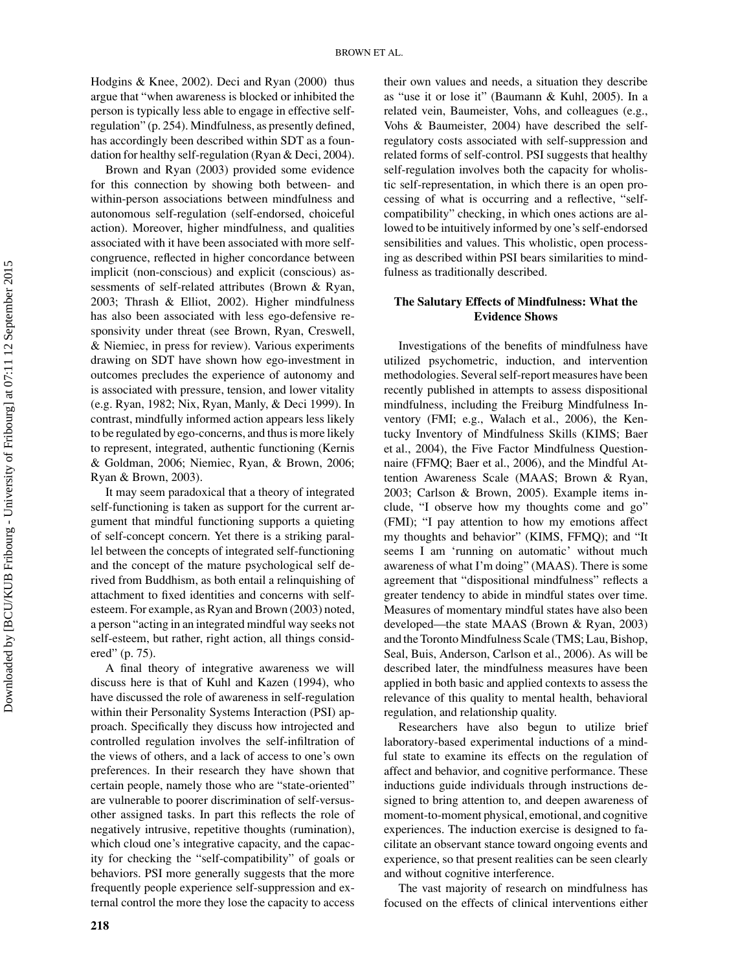Hodgins & Knee, 2002). Deci and Ryan (2000) thus argue that "when awareness is blocked or inhibited the person is typically less able to engage in effective selfregulation" (p. 254). Mindfulness, as presently defined, has accordingly been described within SDT as a foundation for healthy self-regulation (Ryan & Deci, 2004).

Brown and Ryan (2003) provided some evidence for this connection by showing both between- and within-person associations between mindfulness and autonomous self-regulation (self-endorsed, choiceful action). Moreover, higher mindfulness, and qualities associated with it have been associated with more selfcongruence, reflected in higher concordance between implicit (non-conscious) and explicit (conscious) assessments of self-related attributes (Brown & Ryan, 2003; Thrash & Elliot, 2002). Higher mindfulness has also been associated with less ego-defensive responsivity under threat (see Brown, Ryan, Creswell, & Niemiec, in press for review). Various experiments drawing on SDT have shown how ego-investment in outcomes precludes the experience of autonomy and is associated with pressure, tension, and lower vitality (e.g. Ryan, 1982; Nix, Ryan, Manly, & Deci 1999). In contrast, mindfully informed action appears less likely to be regulated by ego-concerns, and thus is more likely to represent, integrated, authentic functioning (Kernis & Goldman, 2006; Niemiec, Ryan, & Brown, 2006; Ryan & Brown, 2003).

It may seem paradoxical that a theory of integrated self-functioning is taken as support for the current argument that mindful functioning supports a quieting of self-concept concern. Yet there is a striking parallel between the concepts of integrated self-functioning and the concept of the mature psychological self derived from Buddhism, as both entail a relinquishing of attachment to fixed identities and concerns with selfesteem. For example, as Ryan and Brown (2003) noted, a person "acting in an integrated mindful way seeks not self-esteem, but rather, right action, all things considered" (p. 75).

A final theory of integrative awareness we will discuss here is that of Kuhl and Kazen (1994), who have discussed the role of awareness in self-regulation within their Personality Systems Interaction (PSI) approach. Specifically they discuss how introjected and controlled regulation involves the self-infiltration of the views of others, and a lack of access to one's own preferences. In their research they have shown that certain people, namely those who are "state-oriented" are vulnerable to poorer discrimination of self-versusother assigned tasks. In part this reflects the role of negatively intrusive, repetitive thoughts (rumination), which cloud one's integrative capacity, and the capacity for checking the "self-compatibility" of goals or behaviors. PSI more generally suggests that the more frequently people experience self-suppression and external control the more they lose the capacity to access their own values and needs, a situation they describe as "use it or lose it" (Baumann & Kuhl, 2005). In a related vein, Baumeister, Vohs, and colleagues (e.g., Vohs & Baumeister, 2004) have described the selfregulatory costs associated with self-suppression and related forms of self-control. PSI suggests that healthy self-regulation involves both the capacity for wholistic self-representation, in which there is an open processing of what is occurring and a reflective, "selfcompatibility" checking, in which ones actions are allowed to be intuitively informed by one's self-endorsed sensibilities and values. This wholistic, open processing as described within PSI bears similarities to mindfulness as traditionally described.

# **The Salutary Effects of Mindfulness: What the Evidence Shows**

Investigations of the benefits of mindfulness have utilized psychometric, induction, and intervention methodologies. Several self-report measures have been recently published in attempts to assess dispositional mindfulness, including the Freiburg Mindfulness Inventory (FMI; e.g., Walach et al., 2006), the Kentucky Inventory of Mindfulness Skills (KIMS; Baer et al., 2004), the Five Factor Mindfulness Questionnaire (FFMQ; Baer et al., 2006), and the Mindful Attention Awareness Scale (MAAS; Brown & Ryan, 2003; Carlson & Brown, 2005). Example items include, "I observe how my thoughts come and go" (FMI); "I pay attention to how my emotions affect my thoughts and behavior" (KIMS, FFMQ); and "It seems I am 'running on automatic' without much awareness of what I'm doing" (MAAS). There is some agreement that "dispositional mindfulness" reflects a greater tendency to abide in mindful states over time. Measures of momentary mindful states have also been developed—the state MAAS (Brown & Ryan, 2003) and the Toronto Mindfulness Scale (TMS; Lau, Bishop, Seal, Buis, Anderson, Carlson et al., 2006). As will be described later, the mindfulness measures have been applied in both basic and applied contexts to assess the relevance of this quality to mental health, behavioral regulation, and relationship quality.

Researchers have also begun to utilize brief laboratory-based experimental inductions of a mindful state to examine its effects on the regulation of affect and behavior, and cognitive performance. These inductions guide individuals through instructions designed to bring attention to, and deepen awareness of moment-to-moment physical, emotional, and cognitive experiences. The induction exercise is designed to facilitate an observant stance toward ongoing events and experience, so that present realities can be seen clearly and without cognitive interference.

The vast majority of research on mindfulness has focused on the effects of clinical interventions either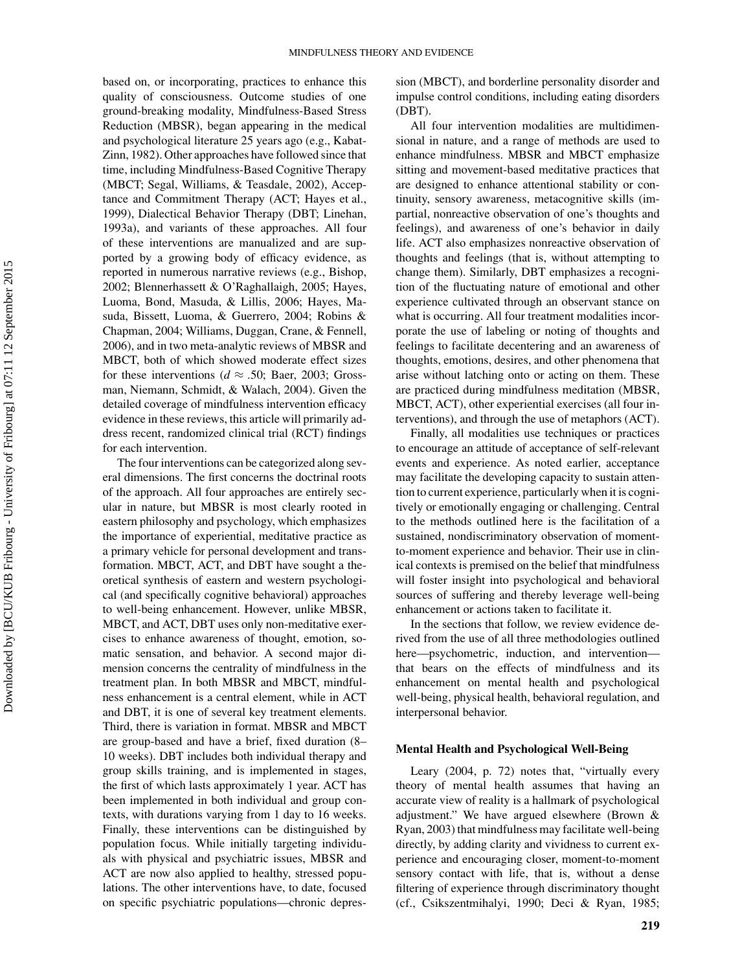based on, or incorporating, practices to enhance this quality of consciousness. Outcome studies of one ground-breaking modality, Mindfulness-Based Stress Reduction (MBSR), began appearing in the medical and psychological literature 25 years ago (e.g., Kabat-Zinn, 1982). Other approaches have followed since that time, including Mindfulness-Based Cognitive Therapy (MBCT; Segal, Williams, & Teasdale, 2002), Acceptance and Commitment Therapy (ACT; Hayes et al., 1999), Dialectical Behavior Therapy (DBT; Linehan, 1993a), and variants of these approaches. All four of these interventions are manualized and are supported by a growing body of efficacy evidence, as reported in numerous narrative reviews (e.g., Bishop, 2002; Blennerhassett & O'Raghallaigh, 2005; Hayes, Luoma, Bond, Masuda, & Lillis, 2006; Hayes, Masuda, Bissett, Luoma, & Guerrero, 2004; Robins & Chapman, 2004; Williams, Duggan, Crane, & Fennell, 2006), and in two meta-analytic reviews of MBSR and MBCT, both of which showed moderate effect sizes for these interventions ( $d \approx .50$ ; Baer, 2003; Grossman, Niemann, Schmidt, & Walach, 2004). Given the detailed coverage of mindfulness intervention efficacy evidence in these reviews, this article will primarily address recent, randomized clinical trial (RCT) findings for each intervention.

The four interventions can be categorized along several dimensions. The first concerns the doctrinal roots of the approach. All four approaches are entirely secular in nature, but MBSR is most clearly rooted in eastern philosophy and psychology, which emphasizes the importance of experiential, meditative practice as a primary vehicle for personal development and transformation. MBCT, ACT, and DBT have sought a theoretical synthesis of eastern and western psychological (and specifically cognitive behavioral) approaches to well-being enhancement. However, unlike MBSR, MBCT, and ACT, DBT uses only non-meditative exercises to enhance awareness of thought, emotion, somatic sensation, and behavior. A second major dimension concerns the centrality of mindfulness in the treatment plan. In both MBSR and MBCT, mindfulness enhancement is a central element, while in ACT and DBT, it is one of several key treatment elements. Third, there is variation in format. MBSR and MBCT are group-based and have a brief, fixed duration (8– 10 weeks). DBT includes both individual therapy and group skills training, and is implemented in stages, the first of which lasts approximately 1 year. ACT has been implemented in both individual and group contexts, with durations varying from 1 day to 16 weeks. Finally, these interventions can be distinguished by population focus. While initially targeting individuals with physical and psychiatric issues, MBSR and ACT are now also applied to healthy, stressed populations. The other interventions have, to date, focused on specific psychiatric populations—chronic depression (MBCT), and borderline personality disorder and impulse control conditions, including eating disorders (DBT).

All four intervention modalities are multidimensional in nature, and a range of methods are used to enhance mindfulness. MBSR and MBCT emphasize sitting and movement-based meditative practices that are designed to enhance attentional stability or continuity, sensory awareness, metacognitive skills (impartial, nonreactive observation of one's thoughts and feelings), and awareness of one's behavior in daily life. ACT also emphasizes nonreactive observation of thoughts and feelings (that is, without attempting to change them). Similarly, DBT emphasizes a recognition of the fluctuating nature of emotional and other experience cultivated through an observant stance on what is occurring. All four treatment modalities incorporate the use of labeling or noting of thoughts and feelings to facilitate decentering and an awareness of thoughts, emotions, desires, and other phenomena that arise without latching onto or acting on them. These are practiced during mindfulness meditation (MBSR, MBCT, ACT), other experiential exercises (all four interventions), and through the use of metaphors (ACT).

Finally, all modalities use techniques or practices to encourage an attitude of acceptance of self-relevant events and experience. As noted earlier, acceptance may facilitate the developing capacity to sustain attention to current experience, particularly when it is cognitively or emotionally engaging or challenging. Central to the methods outlined here is the facilitation of a sustained, nondiscriminatory observation of momentto-moment experience and behavior. Their use in clinical contexts is premised on the belief that mindfulness will foster insight into psychological and behavioral sources of suffering and thereby leverage well-being enhancement or actions taken to facilitate it.

In the sections that follow, we review evidence derived from the use of all three methodologies outlined here—psychometric, induction, and intervention that bears on the effects of mindfulness and its enhancement on mental health and psychological well-being, physical health, behavioral regulation, and interpersonal behavior.

#### **Mental Health and Psychological Well-Being**

Leary (2004, p. 72) notes that, "virtually every theory of mental health assumes that having an accurate view of reality is a hallmark of psychological adjustment." We have argued elsewhere (Brown & Ryan, 2003) that mindfulness may facilitate well-being directly, by adding clarity and vividness to current experience and encouraging closer, moment-to-moment sensory contact with life, that is, without a dense filtering of experience through discriminatory thought (cf., Csikszentmihalyi, 1990; Deci & Ryan, 1985;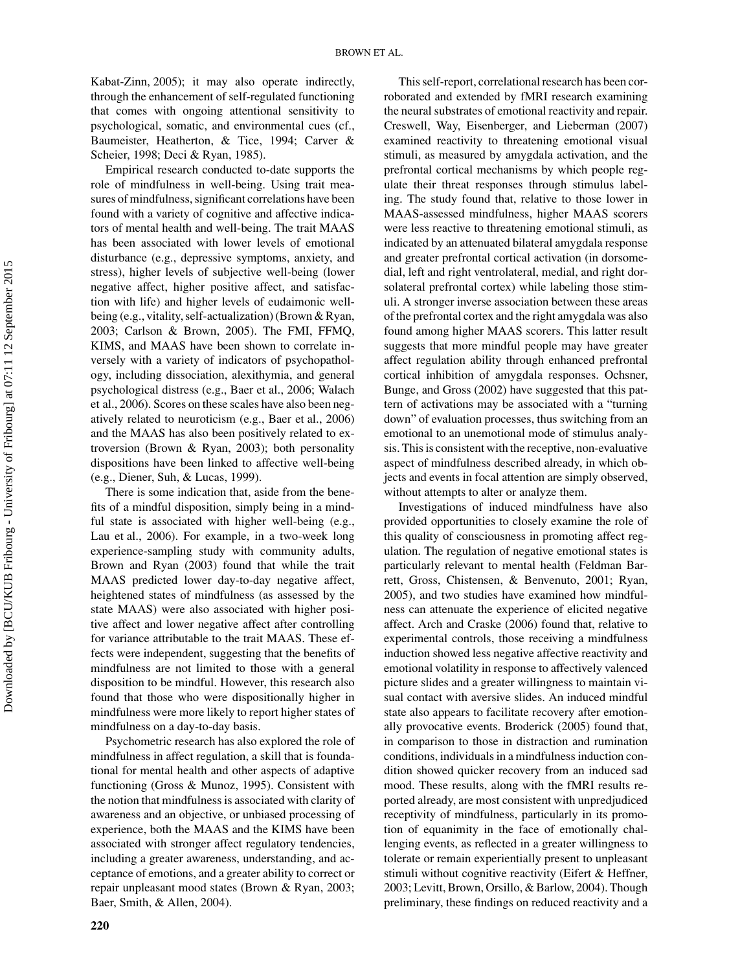Kabat-Zinn, 2005); it may also operate indirectly, through the enhancement of self-regulated functioning that comes with ongoing attentional sensitivity to psychological, somatic, and environmental cues (cf., Baumeister, Heatherton, & Tice, 1994; Carver & Scheier, 1998; Deci & Ryan, 1985).

Empirical research conducted to-date supports the role of mindfulness in well-being. Using trait measures of mindfulness, significant correlations have been found with a variety of cognitive and affective indicators of mental health and well-being. The trait MAAS has been associated with lower levels of emotional disturbance (e.g., depressive symptoms, anxiety, and stress), higher levels of subjective well-being (lower negative affect, higher positive affect, and satisfaction with life) and higher levels of eudaimonic wellbeing (e.g., vitality, self-actualization) (Brown & Ryan, 2003; Carlson & Brown, 2005). The FMI, FFMQ, KIMS, and MAAS have been shown to correlate inversely with a variety of indicators of psychopathology, including dissociation, alexithymia, and general psychological distress (e.g., Baer et al., 2006; Walach et al., 2006). Scores on these scales have also been negatively related to neuroticism (e.g., Baer et al., 2006) and the MAAS has also been positively related to extroversion (Brown & Ryan, 2003); both personality dispositions have been linked to affective well-being (e.g., Diener, Suh, & Lucas, 1999).

There is some indication that, aside from the benefits of a mindful disposition, simply being in a mindful state is associated with higher well-being (e.g., Lau et al., 2006). For example, in a two-week long experience-sampling study with community adults, Brown and Ryan (2003) found that while the trait MAAS predicted lower day-to-day negative affect, heightened states of mindfulness (as assessed by the state MAAS) were also associated with higher positive affect and lower negative affect after controlling for variance attributable to the trait MAAS. These effects were independent, suggesting that the benefits of mindfulness are not limited to those with a general disposition to be mindful. However, this research also found that those who were dispositionally higher in mindfulness were more likely to report higher states of mindfulness on a day-to-day basis.

Psychometric research has also explored the role of mindfulness in affect regulation, a skill that is foundational for mental health and other aspects of adaptive functioning (Gross & Munoz, 1995). Consistent with the notion that mindfulness is associated with clarity of awareness and an objective, or unbiased processing of experience, both the MAAS and the KIMS have been associated with stronger affect regulatory tendencies, including a greater awareness, understanding, and acceptance of emotions, and a greater ability to correct or repair unpleasant mood states (Brown & Ryan, 2003; Baer, Smith, & Allen, 2004).

This self-report, correlational research has been corroborated and extended by fMRI research examining the neural substrates of emotional reactivity and repair. Creswell, Way, Eisenberger, and Lieberman (2007) examined reactivity to threatening emotional visual stimuli, as measured by amygdala activation, and the prefrontal cortical mechanisms by which people regulate their threat responses through stimulus labeling. The study found that, relative to those lower in MAAS-assessed mindfulness, higher MAAS scorers were less reactive to threatening emotional stimuli, as indicated by an attenuated bilateral amygdala response and greater prefrontal cortical activation (in dorsomedial, left and right ventrolateral, medial, and right dorsolateral prefrontal cortex) while labeling those stimuli. A stronger inverse association between these areas of the prefrontal cortex and the right amygdala was also found among higher MAAS scorers. This latter result suggests that more mindful people may have greater affect regulation ability through enhanced prefrontal cortical inhibition of amygdala responses. Ochsner, Bunge, and Gross (2002) have suggested that this pattern of activations may be associated with a "turning down" of evaluation processes, thus switching from an emotional to an unemotional mode of stimulus analysis. This is consistent with the receptive, non-evaluative aspect of mindfulness described already, in which objects and events in focal attention are simply observed, without attempts to alter or analyze them.

Investigations of induced mindfulness have also provided opportunities to closely examine the role of this quality of consciousness in promoting affect regulation. The regulation of negative emotional states is particularly relevant to mental health (Feldman Barrett, Gross, Chistensen, & Benvenuto, 2001; Ryan, 2005), and two studies have examined how mindfulness can attenuate the experience of elicited negative affect. Arch and Craske (2006) found that, relative to experimental controls, those receiving a mindfulness induction showed less negative affective reactivity and emotional volatility in response to affectively valenced picture slides and a greater willingness to maintain visual contact with aversive slides. An induced mindful state also appears to facilitate recovery after emotionally provocative events. Broderick (2005) found that, in comparison to those in distraction and rumination conditions, individuals in a mindfulness induction condition showed quicker recovery from an induced sad mood. These results, along with the fMRI results reported already, are most consistent with unpredjudiced receptivity of mindfulness, particularly in its promotion of equanimity in the face of emotionally challenging events, as reflected in a greater willingness to tolerate or remain experientially present to unpleasant stimuli without cognitive reactivity (Eifert & Heffner, 2003; Levitt, Brown, Orsillo, & Barlow, 2004). Though preliminary, these findings on reduced reactivity and a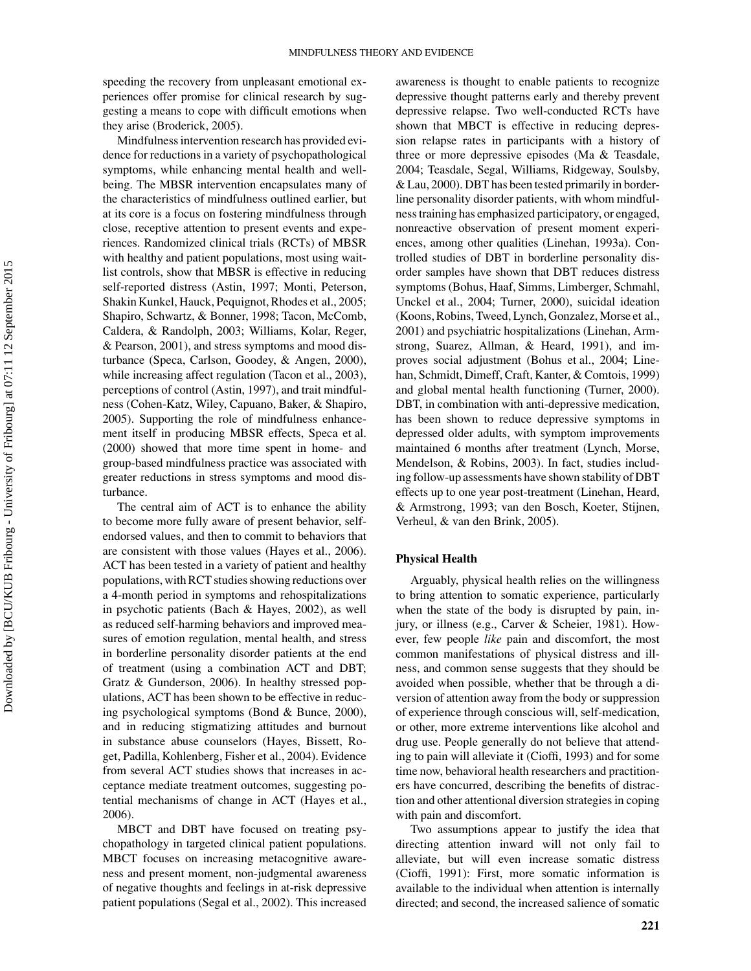speeding the recovery from unpleasant emotional experiences offer promise for clinical research by suggesting a means to cope with difficult emotions when they arise (Broderick, 2005).

Mindfulness intervention research has provided evidence for reductions in a variety of psychopathological symptoms, while enhancing mental health and wellbeing. The MBSR intervention encapsulates many of the characteristics of mindfulness outlined earlier, but at its core is a focus on fostering mindfulness through close, receptive attention to present events and experiences. Randomized clinical trials (RCTs) of MBSR with healthy and patient populations, most using waitlist controls, show that MBSR is effective in reducing self-reported distress (Astin, 1997; Monti, Peterson, Shakin Kunkel, Hauck, Pequignot, Rhodes et al., 2005; Shapiro, Schwartz, & Bonner, 1998; Tacon, McComb, Caldera, & Randolph, 2003; Williams, Kolar, Reger, & Pearson, 2001), and stress symptoms and mood disturbance (Speca, Carlson, Goodey, & Angen, 2000), while increasing affect regulation (Tacon et al., 2003), perceptions of control (Astin, 1997), and trait mindfulness (Cohen-Katz, Wiley, Capuano, Baker, & Shapiro, 2005). Supporting the role of mindfulness enhancement itself in producing MBSR effects, Speca et al. (2000) showed that more time spent in home- and group-based mindfulness practice was associated with greater reductions in stress symptoms and mood disturbance.

The central aim of ACT is to enhance the ability to become more fully aware of present behavior, selfendorsed values, and then to commit to behaviors that are consistent with those values (Hayes et al., 2006). ACT has been tested in a variety of patient and healthy populations, with RCT studies showing reductions over a 4-month period in symptoms and rehospitalizations in psychotic patients (Bach & Hayes, 2002), as well as reduced self-harming behaviors and improved measures of emotion regulation, mental health, and stress in borderline personality disorder patients at the end of treatment (using a combination ACT and DBT; Gratz & Gunderson, 2006). In healthy stressed populations, ACT has been shown to be effective in reducing psychological symptoms (Bond & Bunce, 2000), and in reducing stigmatizing attitudes and burnout in substance abuse counselors (Hayes, Bissett, Roget, Padilla, Kohlenberg, Fisher et al., 2004). Evidence from several ACT studies shows that increases in acceptance mediate treatment outcomes, suggesting potential mechanisms of change in ACT (Hayes et al., 2006).

MBCT and DBT have focused on treating psychopathology in targeted clinical patient populations. MBCT focuses on increasing metacognitive awareness and present moment, non-judgmental awareness of negative thoughts and feelings in at-risk depressive patient populations (Segal et al., 2002). This increased awareness is thought to enable patients to recognize depressive thought patterns early and thereby prevent depressive relapse. Two well-conducted RCTs have shown that MBCT is effective in reducing depression relapse rates in participants with a history of three or more depressive episodes (Ma & Teasdale, 2004; Teasdale, Segal, Williams, Ridgeway, Soulsby, & Lau, 2000). DBT has been tested primarily in borderline personality disorder patients, with whom mindfulness training has emphasized participatory, or engaged, nonreactive observation of present moment experiences, among other qualities (Linehan, 1993a). Controlled studies of DBT in borderline personality disorder samples have shown that DBT reduces distress symptoms (Bohus, Haaf, Simms, Limberger, Schmahl, Unckel et al., 2004; Turner, 2000), suicidal ideation (Koons, Robins, Tweed, Lynch, Gonzalez, Morse et al., 2001) and psychiatric hospitalizations (Linehan, Armstrong, Suarez, Allman, & Heard, 1991), and improves social adjustment (Bohus et al., 2004; Linehan, Schmidt, Dimeff, Craft, Kanter, & Comtois, 1999) and global mental health functioning (Turner, 2000). DBT, in combination with anti-depressive medication, has been shown to reduce depressive symptoms in depressed older adults, with symptom improvements maintained 6 months after treatment (Lynch, Morse, Mendelson, & Robins, 2003). In fact, studies including follow-up assessments have shown stability of DBT effects up to one year post-treatment (Linehan, Heard, & Armstrong, 1993; van den Bosch, Koeter, Stijnen, Verheul, & van den Brink, 2005).

# **Physical Health**

Arguably, physical health relies on the willingness to bring attention to somatic experience, particularly when the state of the body is disrupted by pain, injury, or illness (e.g., Carver & Scheier, 1981). However, few people *like* pain and discomfort, the most common manifestations of physical distress and illness, and common sense suggests that they should be avoided when possible, whether that be through a diversion of attention away from the body or suppression of experience through conscious will, self-medication, or other, more extreme interventions like alcohol and drug use. People generally do not believe that attending to pain will alleviate it (Cioffi, 1993) and for some time now, behavioral health researchers and practitioners have concurred, describing the benefits of distraction and other attentional diversion strategies in coping with pain and discomfort.

Two assumptions appear to justify the idea that directing attention inward will not only fail to alleviate, but will even increase somatic distress (Cioffi, 1991): First, more somatic information is available to the individual when attention is internally directed; and second, the increased salience of somatic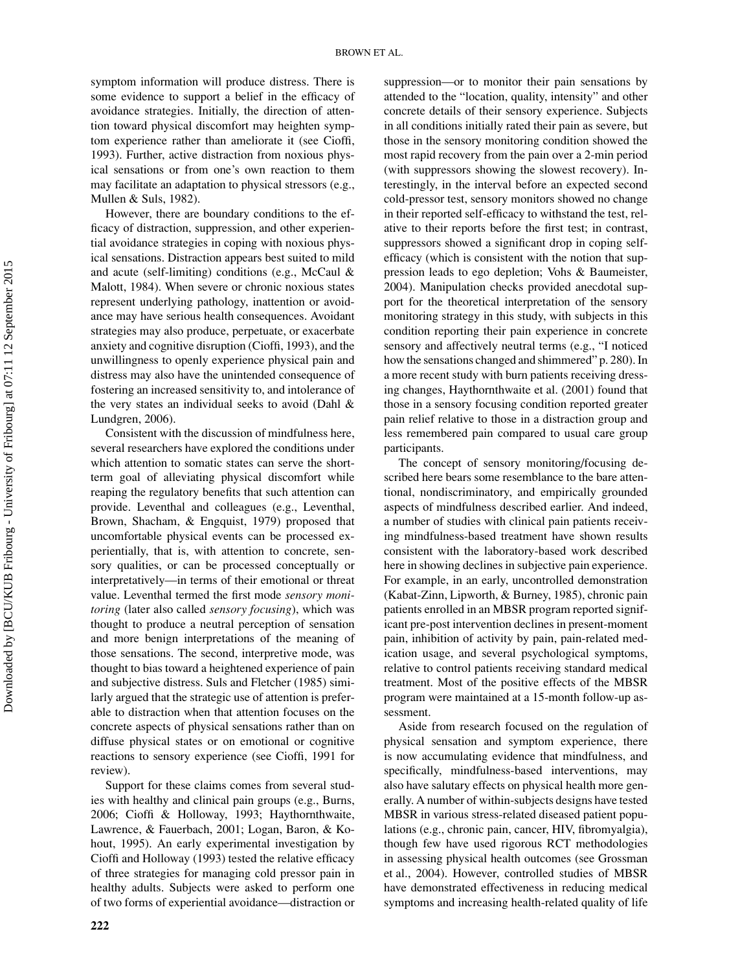symptom information will produce distress. There is some evidence to support a belief in the efficacy of avoidance strategies. Initially, the direction of attention toward physical discomfort may heighten symptom experience rather than ameliorate it (see Cioffi, 1993). Further, active distraction from noxious physical sensations or from one's own reaction to them may facilitate an adaptation to physical stressors (e.g., Mullen & Suls, 1982).

However, there are boundary conditions to the efficacy of distraction, suppression, and other experiential avoidance strategies in coping with noxious physical sensations. Distraction appears best suited to mild and acute (self-limiting) conditions (e.g., McCaul & Malott, 1984). When severe or chronic noxious states represent underlying pathology, inattention or avoidance may have serious health consequences. Avoidant strategies may also produce, perpetuate, or exacerbate anxiety and cognitive disruption (Cioffi, 1993), and the unwillingness to openly experience physical pain and distress may also have the unintended consequence of fostering an increased sensitivity to, and intolerance of the very states an individual seeks to avoid (Dahl & Lundgren, 2006).

Consistent with the discussion of mindfulness here, several researchers have explored the conditions under which attention to somatic states can serve the shortterm goal of alleviating physical discomfort while reaping the regulatory benefits that such attention can provide. Leventhal and colleagues (e.g., Leventhal, Brown, Shacham, & Engquist, 1979) proposed that uncomfortable physical events can be processed experientially, that is, with attention to concrete, sensory qualities, or can be processed conceptually or interpretatively—in terms of their emotional or threat value. Leventhal termed the first mode *sensory monitoring* (later also called *sensory focusing*), which was thought to produce a neutral perception of sensation and more benign interpretations of the meaning of those sensations. The second, interpretive mode, was thought to bias toward a heightened experience of pain and subjective distress. Suls and Fletcher (1985) similarly argued that the strategic use of attention is preferable to distraction when that attention focuses on the concrete aspects of physical sensations rather than on diffuse physical states or on emotional or cognitive reactions to sensory experience (see Cioffi, 1991 for review).

Support for these claims comes from several studies with healthy and clinical pain groups (e.g., Burns, 2006; Cioffi & Holloway, 1993; Haythornthwaite, Lawrence, & Fauerbach, 2001; Logan, Baron, & Kohout, 1995). An early experimental investigation by Cioffi and Holloway (1993) tested the relative efficacy of three strategies for managing cold pressor pain in healthy adults. Subjects were asked to perform one of two forms of experiential avoidance—distraction or suppression—or to monitor their pain sensations by attended to the "location, quality, intensity" and other concrete details of their sensory experience. Subjects in all conditions initially rated their pain as severe, but those in the sensory monitoring condition showed the most rapid recovery from the pain over a 2-min period (with suppressors showing the slowest recovery). Interestingly, in the interval before an expected second cold-pressor test, sensory monitors showed no change in their reported self-efficacy to withstand the test, relative to their reports before the first test; in contrast, suppressors showed a significant drop in coping selfefficacy (which is consistent with the notion that suppression leads to ego depletion; Vohs & Baumeister, 2004). Manipulation checks provided anecdotal support for the theoretical interpretation of the sensory monitoring strategy in this study, with subjects in this condition reporting their pain experience in concrete sensory and affectively neutral terms (e.g., "I noticed how the sensations changed and shimmered" p. 280). In a more recent study with burn patients receiving dressing changes, Haythornthwaite et al. (2001) found that those in a sensory focusing condition reported greater pain relief relative to those in a distraction group and less remembered pain compared to usual care group participants.

The concept of sensory monitoring/focusing described here bears some resemblance to the bare attentional, nondiscriminatory, and empirically grounded aspects of mindfulness described earlier. And indeed, a number of studies with clinical pain patients receiving mindfulness-based treatment have shown results consistent with the laboratory-based work described here in showing declines in subjective pain experience. For example, in an early, uncontrolled demonstration (Kabat-Zinn, Lipworth, & Burney, 1985), chronic pain patients enrolled in an MBSR program reported significant pre-post intervention declines in present-moment pain, inhibition of activity by pain, pain-related medication usage, and several psychological symptoms, relative to control patients receiving standard medical treatment. Most of the positive effects of the MBSR program were maintained at a 15-month follow-up assessment.

Aside from research focused on the regulation of physical sensation and symptom experience, there is now accumulating evidence that mindfulness, and specifically, mindfulness-based interventions, may also have salutary effects on physical health more generally. A number of within-subjects designs have tested MBSR in various stress-related diseased patient populations (e.g., chronic pain, cancer, HIV, fibromyalgia), though few have used rigorous RCT methodologies in assessing physical health outcomes (see Grossman et al., 2004). However, controlled studies of MBSR have demonstrated effectiveness in reducing medical symptoms and increasing health-related quality of life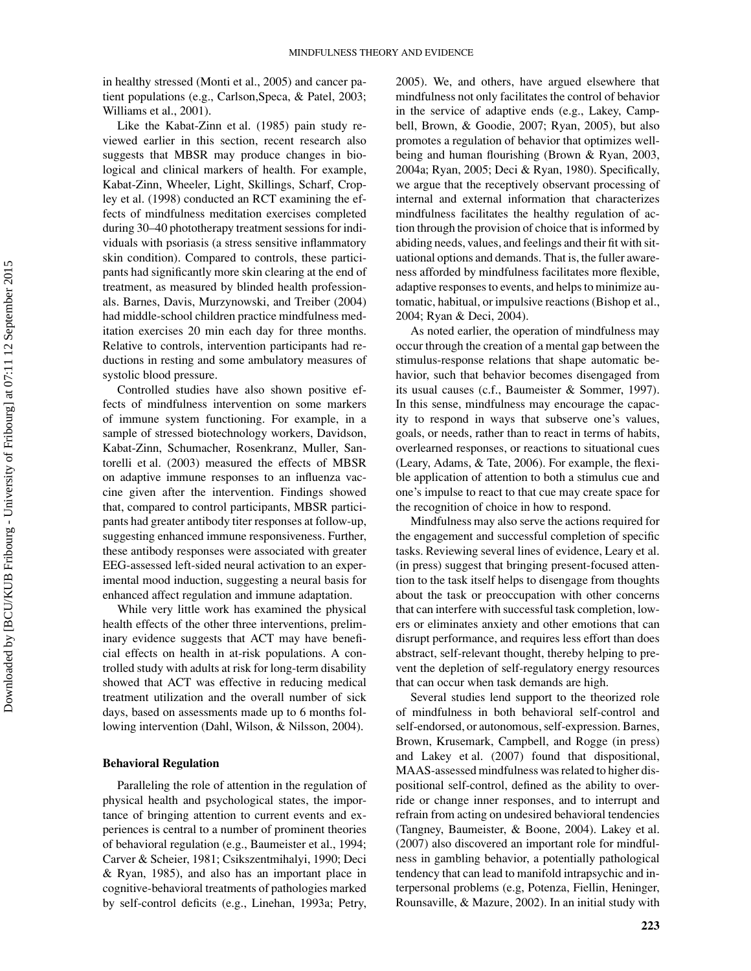in healthy stressed (Monti et al., 2005) and cancer patient populations (e.g., Carlson,Speca, & Patel, 2003; Williams et al., 2001).

Like the Kabat-Zinn et al. (1985) pain study reviewed earlier in this section, recent research also suggests that MBSR may produce changes in biological and clinical markers of health. For example, Kabat-Zinn, Wheeler, Light, Skillings, Scharf, Cropley et al. (1998) conducted an RCT examining the effects of mindfulness meditation exercises completed during 30–40 phototherapy treatment sessions for individuals with psoriasis (a stress sensitive inflammatory skin condition). Compared to controls, these participants had significantly more skin clearing at the end of treatment, as measured by blinded health professionals. Barnes, Davis, Murzynowski, and Treiber (2004) had middle-school children practice mindfulness meditation exercises 20 min each day for three months. Relative to controls, intervention participants had reductions in resting and some ambulatory measures of systolic blood pressure.

Controlled studies have also shown positive effects of mindfulness intervention on some markers of immune system functioning. For example, in a sample of stressed biotechnology workers, Davidson, Kabat-Zinn, Schumacher, Rosenkranz, Muller, Santorelli et al. (2003) measured the effects of MBSR on adaptive immune responses to an influenza vaccine given after the intervention. Findings showed that, compared to control participants, MBSR participants had greater antibody titer responses at follow-up, suggesting enhanced immune responsiveness. Further, these antibody responses were associated with greater EEG-assessed left-sided neural activation to an experimental mood induction, suggesting a neural basis for enhanced affect regulation and immune adaptation.

While very little work has examined the physical health effects of the other three interventions, preliminary evidence suggests that ACT may have beneficial effects on health in at-risk populations. A controlled study with adults at risk for long-term disability showed that ACT was effective in reducing medical treatment utilization and the overall number of sick days, based on assessments made up to 6 months following intervention (Dahl, Wilson, & Nilsson, 2004).

## **Behavioral Regulation**

Paralleling the role of attention in the regulation of physical health and psychological states, the importance of bringing attention to current events and experiences is central to a number of prominent theories of behavioral regulation (e.g., Baumeister et al., 1994; Carver & Scheier, 1981; Csikszentmihalyi, 1990; Deci & Ryan, 1985), and also has an important place in cognitive-behavioral treatments of pathologies marked by self-control deficits (e.g., Linehan, 1993a; Petry, 2005). We, and others, have argued elsewhere that mindfulness not only facilitates the control of behavior in the service of adaptive ends (e.g., Lakey, Campbell, Brown, & Goodie, 2007; Ryan, 2005), but also promotes a regulation of behavior that optimizes wellbeing and human flourishing (Brown & Ryan, 2003, 2004a; Ryan, 2005; Deci & Ryan, 1980). Specifically, we argue that the receptively observant processing of internal and external information that characterizes mindfulness facilitates the healthy regulation of action through the provision of choice that is informed by abiding needs, values, and feelings and their fit with situational options and demands. That is, the fuller awareness afforded by mindfulness facilitates more flexible, adaptive responses to events, and helps to minimize automatic, habitual, or impulsive reactions (Bishop et al., 2004; Ryan & Deci, 2004).

As noted earlier, the operation of mindfulness may occur through the creation of a mental gap between the stimulus-response relations that shape automatic behavior, such that behavior becomes disengaged from its usual causes (c.f., Baumeister & Sommer, 1997). In this sense, mindfulness may encourage the capacity to respond in ways that subserve one's values, goals, or needs, rather than to react in terms of habits, overlearned responses, or reactions to situational cues (Leary, Adams, & Tate, 2006). For example, the flexible application of attention to both a stimulus cue and one's impulse to react to that cue may create space for the recognition of choice in how to respond.

Mindfulness may also serve the actions required for the engagement and successful completion of specific tasks. Reviewing several lines of evidence, Leary et al. (in press) suggest that bringing present-focused attention to the task itself helps to disengage from thoughts about the task or preoccupation with other concerns that can interfere with successful task completion, lowers or eliminates anxiety and other emotions that can disrupt performance, and requires less effort than does abstract, self-relevant thought, thereby helping to prevent the depletion of self-regulatory energy resources that can occur when task demands are high.

Several studies lend support to the theorized role of mindfulness in both behavioral self-control and self-endorsed, or autonomous, self-expression. Barnes, Brown, Krusemark, Campbell, and Rogge (in press) and Lakey et al. (2007) found that dispositional, MAAS-assessed mindfulness was related to higher dispositional self-control, defined as the ability to override or change inner responses, and to interrupt and refrain from acting on undesired behavioral tendencies (Tangney, Baumeister, & Boone, 2004). Lakey et al. (2007) also discovered an important role for mindfulness in gambling behavior, a potentially pathological tendency that can lead to manifold intrapsychic and interpersonal problems (e.g, Potenza, Fiellin, Heninger, Rounsaville, & Mazure, 2002). In an initial study with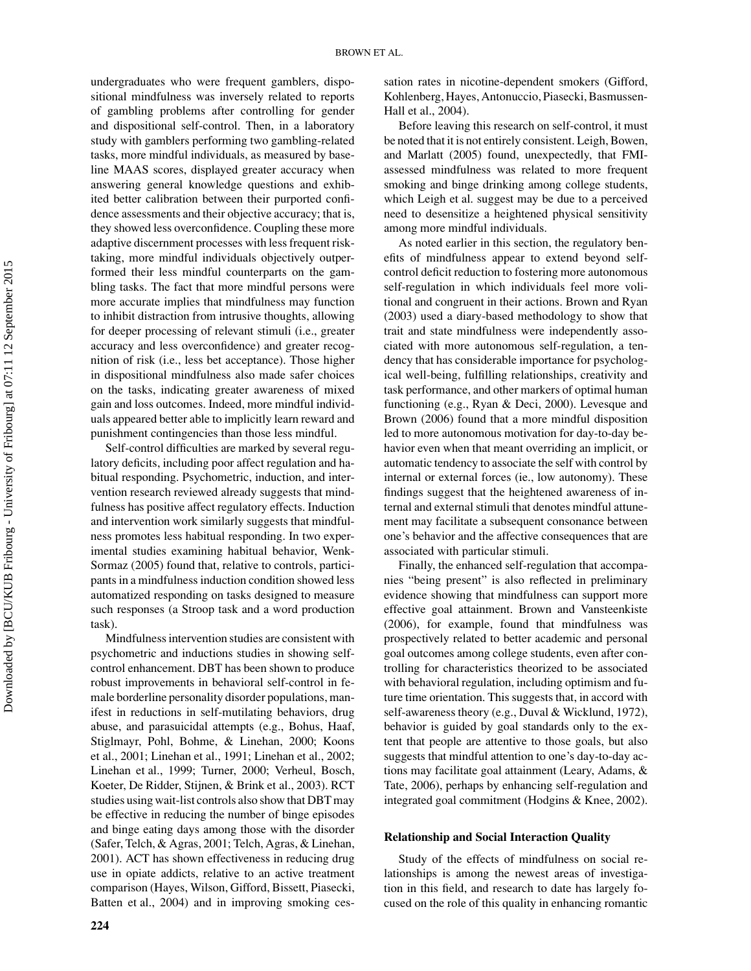undergraduates who were frequent gamblers, dispositional mindfulness was inversely related to reports of gambling problems after controlling for gender and dispositional self-control. Then, in a laboratory study with gamblers performing two gambling-related tasks, more mindful individuals, as measured by baseline MAAS scores, displayed greater accuracy when answering general knowledge questions and exhibited better calibration between their purported confidence assessments and their objective accuracy; that is, they showed less overconfidence. Coupling these more adaptive discernment processes with less frequent risktaking, more mindful individuals objectively outperformed their less mindful counterparts on the gambling tasks. The fact that more mindful persons were more accurate implies that mindfulness may function to inhibit distraction from intrusive thoughts, allowing for deeper processing of relevant stimuli (i.e., greater accuracy and less overconfidence) and greater recognition of risk (i.e., less bet acceptance). Those higher in dispositional mindfulness also made safer choices on the tasks, indicating greater awareness of mixed gain and loss outcomes. Indeed, more mindful individuals appeared better able to implicitly learn reward and punishment contingencies than those less mindful.

Self-control difficulties are marked by several regulatory deficits, including poor affect regulation and habitual responding. Psychometric, induction, and intervention research reviewed already suggests that mindfulness has positive affect regulatory effects. Induction and intervention work similarly suggests that mindfulness promotes less habitual responding. In two experimental studies examining habitual behavior, Wenk-Sormaz (2005) found that, relative to controls, participants in a mindfulness induction condition showed less automatized responding on tasks designed to measure such responses (a Stroop task and a word production task).

Mindfulness intervention studies are consistent with psychometric and inductions studies in showing selfcontrol enhancement. DBT has been shown to produce robust improvements in behavioral self-control in female borderline personality disorder populations, manifest in reductions in self-mutilating behaviors, drug abuse, and parasuicidal attempts (e.g., Bohus, Haaf, Stiglmayr, Pohl, Bohme, & Linehan, 2000; Koons et al., 2001; Linehan et al., 1991; Linehan et al., 2002; Linehan et al., 1999; Turner, 2000; Verheul, Bosch, Koeter, De Ridder, Stijnen, & Brink et al., 2003). RCT studies using wait-list controls also show that DBT may be effective in reducing the number of binge episodes and binge eating days among those with the disorder (Safer, Telch, & Agras, 2001; Telch, Agras, & Linehan, 2001). ACT has shown effectiveness in reducing drug use in opiate addicts, relative to an active treatment comparison (Hayes, Wilson, Gifford, Bissett, Piasecki, Batten et al., 2004) and in improving smoking cessation rates in nicotine-dependent smokers (Gifford, Kohlenberg, Hayes, Antonuccio, Piasecki, Basmussen-Hall et al., 2004).

Before leaving this research on self-control, it must be noted that it is not entirely consistent. Leigh, Bowen, and Marlatt (2005) found, unexpectedly, that FMIassessed mindfulness was related to more frequent smoking and binge drinking among college students, which Leigh et al. suggest may be due to a perceived need to desensitize a heightened physical sensitivity among more mindful individuals.

As noted earlier in this section, the regulatory benefits of mindfulness appear to extend beyond selfcontrol deficit reduction to fostering more autonomous self-regulation in which individuals feel more volitional and congruent in their actions. Brown and Ryan (2003) used a diary-based methodology to show that trait and state mindfulness were independently associated with more autonomous self-regulation, a tendency that has considerable importance for psychological well-being, fulfilling relationships, creativity and task performance, and other markers of optimal human functioning (e.g., Ryan & Deci, 2000). Levesque and Brown (2006) found that a more mindful disposition led to more autonomous motivation for day-to-day behavior even when that meant overriding an implicit, or automatic tendency to associate the self with control by internal or external forces (ie., low autonomy). These findings suggest that the heightened awareness of internal and external stimuli that denotes mindful attunement may facilitate a subsequent consonance between one's behavior and the affective consequences that are associated with particular stimuli.

Finally, the enhanced self-regulation that accompanies "being present" is also reflected in preliminary evidence showing that mindfulness can support more effective goal attainment. Brown and Vansteenkiste (2006), for example, found that mindfulness was prospectively related to better academic and personal goal outcomes among college students, even after controlling for characteristics theorized to be associated with behavioral regulation, including optimism and future time orientation. This suggests that, in accord with self-awareness theory (e.g., Duval & Wicklund, 1972), behavior is guided by goal standards only to the extent that people are attentive to those goals, but also suggests that mindful attention to one's day-to-day actions may facilitate goal attainment (Leary, Adams, & Tate, 2006), perhaps by enhancing self-regulation and integrated goal commitment (Hodgins & Knee, 2002).

#### **Relationship and Social Interaction Quality**

Study of the effects of mindfulness on social relationships is among the newest areas of investigation in this field, and research to date has largely focused on the role of this quality in enhancing romantic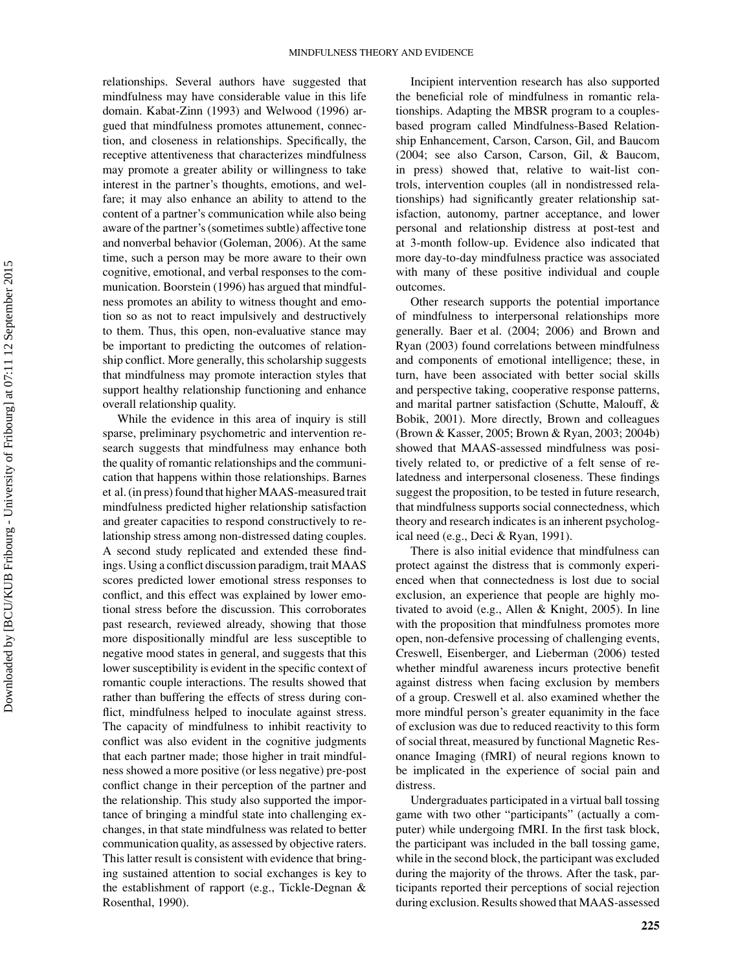relationships. Several authors have suggested that mindfulness may have considerable value in this life domain. Kabat-Zinn (1993) and Welwood (1996) argued that mindfulness promotes attunement, connection, and closeness in relationships. Specifically, the receptive attentiveness that characterizes mindfulness may promote a greater ability or willingness to take interest in the partner's thoughts, emotions, and welfare; it may also enhance an ability to attend to the content of a partner's communication while also being aware of the partner's (sometimes subtle) affective tone and nonverbal behavior (Goleman, 2006). At the same time, such a person may be more aware to their own cognitive, emotional, and verbal responses to the communication. Boorstein (1996) has argued that mindfulness promotes an ability to witness thought and emotion so as not to react impulsively and destructively to them. Thus, this open, non-evaluative stance may be important to predicting the outcomes of relationship conflict. More generally, this scholarship suggests that mindfulness may promote interaction styles that support healthy relationship functioning and enhance overall relationship quality.

While the evidence in this area of inquiry is still sparse, preliminary psychometric and intervention research suggests that mindfulness may enhance both the quality of romantic relationships and the communication that happens within those relationships. Barnes et al. (in press) found that higher MAAS-measured trait mindfulness predicted higher relationship satisfaction and greater capacities to respond constructively to relationship stress among non-distressed dating couples. A second study replicated and extended these findings. Using a conflict discussion paradigm, trait MAAS scores predicted lower emotional stress responses to conflict, and this effect was explained by lower emotional stress before the discussion. This corroborates past research, reviewed already, showing that those more dispositionally mindful are less susceptible to negative mood states in general, and suggests that this lower susceptibility is evident in the specific context of romantic couple interactions. The results showed that rather than buffering the effects of stress during conflict, mindfulness helped to inoculate against stress. The capacity of mindfulness to inhibit reactivity to conflict was also evident in the cognitive judgments that each partner made; those higher in trait mindfulness showed a more positive (or less negative) pre-post conflict change in their perception of the partner and the relationship. This study also supported the importance of bringing a mindful state into challenging exchanges, in that state mindfulness was related to better communication quality, as assessed by objective raters. This latter result is consistent with evidence that bringing sustained attention to social exchanges is key to the establishment of rapport (e.g., Tickle-Degnan & Rosenthal, 1990).

Incipient intervention research has also supported the beneficial role of mindfulness in romantic relationships. Adapting the MBSR program to a couplesbased program called Mindfulness-Based Relationship Enhancement, Carson, Carson, Gil, and Baucom (2004; see also Carson, Carson, Gil, & Baucom, in press) showed that, relative to wait-list controls, intervention couples (all in nondistressed relationships) had significantly greater relationship satisfaction, autonomy, partner acceptance, and lower personal and relationship distress at post-test and at 3-month follow-up. Evidence also indicated that more day-to-day mindfulness practice was associated with many of these positive individual and couple outcomes.

Other research supports the potential importance of mindfulness to interpersonal relationships more generally. Baer et al. (2004; 2006) and Brown and Ryan (2003) found correlations between mindfulness and components of emotional intelligence; these, in turn, have been associated with better social skills and perspective taking, cooperative response patterns, and marital partner satisfaction (Schutte, Malouff, & Bobik, 2001). More directly, Brown and colleagues (Brown & Kasser, 2005; Brown & Ryan, 2003; 2004b) showed that MAAS-assessed mindfulness was positively related to, or predictive of a felt sense of relatedness and interpersonal closeness. These findings suggest the proposition, to be tested in future research, that mindfulness supports social connectedness, which theory and research indicates is an inherent psychological need (e.g., Deci & Ryan, 1991).

There is also initial evidence that mindfulness can protect against the distress that is commonly experienced when that connectedness is lost due to social exclusion, an experience that people are highly motivated to avoid (e.g., Allen & Knight, 2005). In line with the proposition that mindfulness promotes more open, non-defensive processing of challenging events, Creswell, Eisenberger, and Lieberman (2006) tested whether mindful awareness incurs protective benefit against distress when facing exclusion by members of a group. Creswell et al. also examined whether the more mindful person's greater equanimity in the face of exclusion was due to reduced reactivity to this form of social threat, measured by functional Magnetic Resonance Imaging (fMRI) of neural regions known to be implicated in the experience of social pain and distress.

Undergraduates participated in a virtual ball tossing game with two other "participants" (actually a computer) while undergoing fMRI. In the first task block, the participant was included in the ball tossing game, while in the second block, the participant was excluded during the majority of the throws. After the task, participants reported their perceptions of social rejection during exclusion. Results showed that MAAS-assessed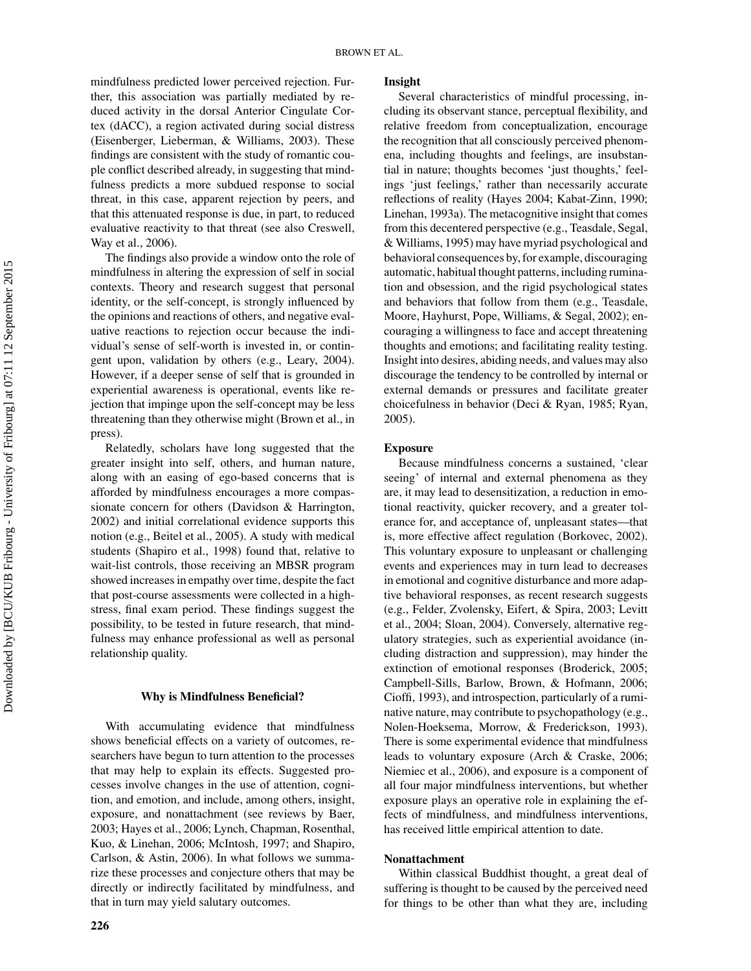**Insight**

mindfulness predicted lower perceived rejection. Further, this association was partially mediated by reduced activity in the dorsal Anterior Cingulate Cortex (dACC), a region activated during social distress (Eisenberger, Lieberman, & Williams, 2003). These findings are consistent with the study of romantic couple conflict described already, in suggesting that mindfulness predicts a more subdued response to social threat, in this case, apparent rejection by peers, and that this attenuated response is due, in part, to reduced evaluative reactivity to that threat (see also Creswell, Way et al., 2006).

The findings also provide a window onto the role of mindfulness in altering the expression of self in social contexts. Theory and research suggest that personal identity, or the self-concept, is strongly influenced by the opinions and reactions of others, and negative evaluative reactions to rejection occur because the individual's sense of self-worth is invested in, or contingent upon, validation by others (e.g., Leary, 2004). However, if a deeper sense of self that is grounded in experiential awareness is operational, events like rejection that impinge upon the self-concept may be less threatening than they otherwise might (Brown et al., in press).

Relatedly, scholars have long suggested that the greater insight into self, others, and human nature, along with an easing of ego-based concerns that is afforded by mindfulness encourages a more compassionate concern for others (Davidson & Harrington, 2002) and initial correlational evidence supports this notion (e.g., Beitel et al., 2005). A study with medical students (Shapiro et al., 1998) found that, relative to wait-list controls, those receiving an MBSR program showed increases in empathy over time, despite the fact that post-course assessments were collected in a highstress, final exam period. These findings suggest the possibility, to be tested in future research, that mindfulness may enhance professional as well as personal relationship quality.

# **Why is Mindfulness Beneficial?**

With accumulating evidence that mindfulness shows beneficial effects on a variety of outcomes, researchers have begun to turn attention to the processes that may help to explain its effects. Suggested processes involve changes in the use of attention, cognition, and emotion, and include, among others, insight, exposure, and nonattachment (see reviews by Baer, 2003; Hayes et al., 2006; Lynch, Chapman, Rosenthal, Kuo, & Linehan, 2006; McIntosh, 1997; and Shapiro, Carlson, & Astin, 2006). In what follows we summarize these processes and conjecture others that may be directly or indirectly facilitated by mindfulness, and that in turn may yield salutary outcomes.

Several characteristics of mindful processing, including its observant stance, perceptual flexibility, and relative freedom from conceptualization, encourage the recognition that all consciously perceived phenomena, including thoughts and feelings, are insubstantial in nature; thoughts becomes 'just thoughts,' feelings 'just feelings,' rather than necessarily accurate reflections of reality (Hayes 2004; Kabat-Zinn, 1990; Linehan, 1993a). The metacognitive insight that comes from this decentered perspective (e.g., Teasdale, Segal, & Williams, 1995) may have myriad psychological and behavioral consequences by, for example, discouraging automatic, habitual thought patterns, including rumination and obsession, and the rigid psychological states and behaviors that follow from them (e.g., Teasdale, Moore, Hayhurst, Pope, Williams, & Segal, 2002); encouraging a willingness to face and accept threatening thoughts and emotions; and facilitating reality testing. Insight into desires, abiding needs, and values may also discourage the tendency to be controlled by internal or external demands or pressures and facilitate greater choicefulness in behavior (Deci & Ryan, 1985; Ryan, 2005).

#### **Exposure**

Because mindfulness concerns a sustained, 'clear seeing' of internal and external phenomena as they are, it may lead to desensitization, a reduction in emotional reactivity, quicker recovery, and a greater tolerance for, and acceptance of, unpleasant states—that is, more effective affect regulation (Borkovec, 2002). This voluntary exposure to unpleasant or challenging events and experiences may in turn lead to decreases in emotional and cognitive disturbance and more adaptive behavioral responses, as recent research suggests (e.g., Felder, Zvolensky, Eifert, & Spira, 2003; Levitt et al., 2004; Sloan, 2004). Conversely, alternative regulatory strategies, such as experiential avoidance (including distraction and suppression), may hinder the extinction of emotional responses (Broderick, 2005; Campbell-Sills, Barlow, Brown, & Hofmann, 2006; Cioffi, 1993), and introspection, particularly of a ruminative nature, may contribute to psychopathology (e.g., Nolen-Hoeksema, Morrow, & Frederickson, 1993). There is some experimental evidence that mindfulness leads to voluntary exposure (Arch & Craske, 2006; Niemiec et al., 2006), and exposure is a component of all four major mindfulness interventions, but whether exposure plays an operative role in explaining the effects of mindfulness, and mindfulness interventions, has received little empirical attention to date.

#### **Nonattachment**

Within classical Buddhist thought, a great deal of suffering is thought to be caused by the perceived need for things to be other than what they are, including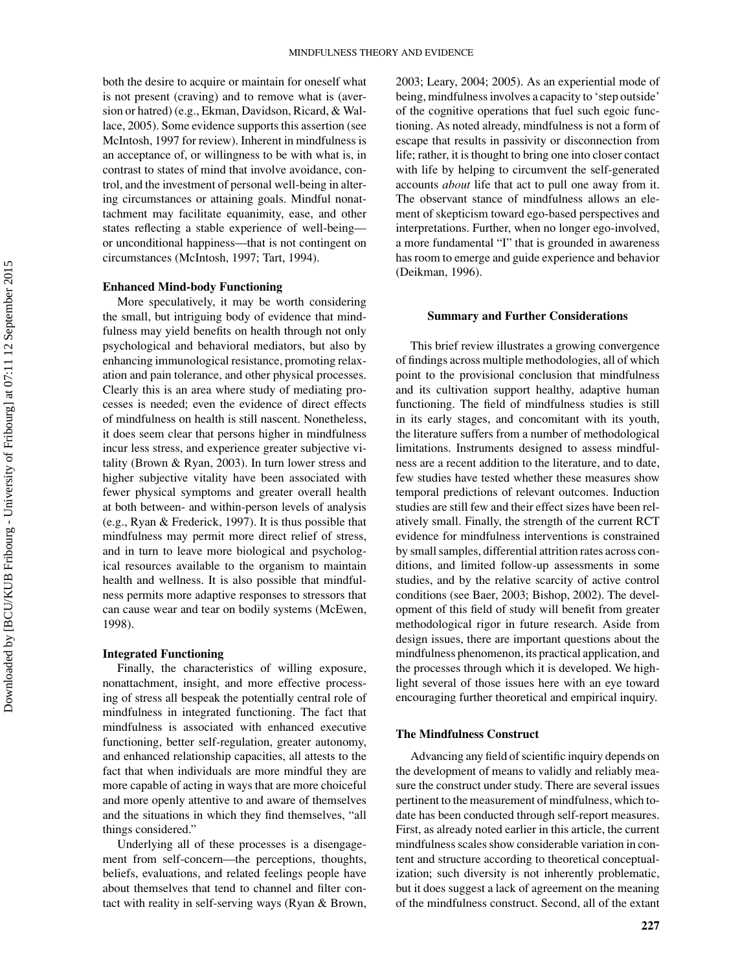both the desire to acquire or maintain for oneself what is not present (craving) and to remove what is (aversion or hatred) (e.g., Ekman, Davidson, Ricard, & Wallace, 2005). Some evidence supports this assertion (see McIntosh, 1997 for review). Inherent in mindfulness is an acceptance of, or willingness to be with what is, in contrast to states of mind that involve avoidance, control, and the investment of personal well-being in altering circumstances or attaining goals. Mindful nonattachment may facilitate equanimity, ease, and other states reflecting a stable experience of well-being or unconditional happiness—that is not contingent on circumstances (McIntosh, 1997; Tart, 1994).

## **Enhanced Mind-body Functioning**

More speculatively, it may be worth considering the small, but intriguing body of evidence that mindfulness may yield benefits on health through not only psychological and behavioral mediators, but also by enhancing immunological resistance, promoting relaxation and pain tolerance, and other physical processes. Clearly this is an area where study of mediating processes is needed; even the evidence of direct effects of mindfulness on health is still nascent. Nonetheless, it does seem clear that persons higher in mindfulness incur less stress, and experience greater subjective vitality (Brown & Ryan, 2003). In turn lower stress and higher subjective vitality have been associated with fewer physical symptoms and greater overall health at both between- and within-person levels of analysis (e.g., Ryan & Frederick, 1997). It is thus possible that mindfulness may permit more direct relief of stress, and in turn to leave more biological and psychological resources available to the organism to maintain health and wellness. It is also possible that mindfulness permits more adaptive responses to stressors that can cause wear and tear on bodily systems (McEwen, 1998).

# **Integrated Functioning**

Finally, the characteristics of willing exposure, nonattachment, insight, and more effective processing of stress all bespeak the potentially central role of mindfulness in integrated functioning. The fact that mindfulness is associated with enhanced executive functioning, better self-regulation, greater autonomy, and enhanced relationship capacities, all attests to the fact that when individuals are more mindful they are more capable of acting in ways that are more choiceful and more openly attentive to and aware of themselves and the situations in which they find themselves, "all things considered."

Underlying all of these processes is a disengagement from self-concern—the perceptions, thoughts, beliefs, evaluations, and related feelings people have about themselves that tend to channel and filter contact with reality in self-serving ways (Ryan & Brown, 2003; Leary, 2004; 2005). As an experiential mode of being, mindfulness involves a capacity to 'step outside' of the cognitive operations that fuel such egoic functioning. As noted already, mindfulness is not a form of escape that results in passivity or disconnection from life; rather, it is thought to bring one into closer contact with life by helping to circumvent the self-generated accounts *about* life that act to pull one away from it. The observant stance of mindfulness allows an element of skepticism toward ego-based perspectives and interpretations. Further, when no longer ego-involved, a more fundamental "I" that is grounded in awareness has room to emerge and guide experience and behavior (Deikman, 1996).

#### **Summary and Further Considerations**

This brief review illustrates a growing convergence of findings across multiple methodologies, all of which point to the provisional conclusion that mindfulness and its cultivation support healthy, adaptive human functioning. The field of mindfulness studies is still in its early stages, and concomitant with its youth, the literature suffers from a number of methodological limitations. Instruments designed to assess mindfulness are a recent addition to the literature, and to date, few studies have tested whether these measures show temporal predictions of relevant outcomes. Induction studies are still few and their effect sizes have been relatively small. Finally, the strength of the current RCT evidence for mindfulness interventions is constrained by small samples, differential attrition rates across conditions, and limited follow-up assessments in some studies, and by the relative scarcity of active control conditions (see Baer, 2003; Bishop, 2002). The development of this field of study will benefit from greater methodological rigor in future research. Aside from design issues, there are important questions about the mindfulness phenomenon, its practical application, and the processes through which it is developed. We highlight several of those issues here with an eye toward encouraging further theoretical and empirical inquiry.

## **The Mindfulness Construct**

Advancing any field of scientific inquiry depends on the development of means to validly and reliably measure the construct under study. There are several issues pertinent to the measurement of mindfulness, which todate has been conducted through self-report measures. First, as already noted earlier in this article, the current mindfulness scales show considerable variation in content and structure according to theoretical conceptualization; such diversity is not inherently problematic, but it does suggest a lack of agreement on the meaning of the mindfulness construct. Second, all of the extant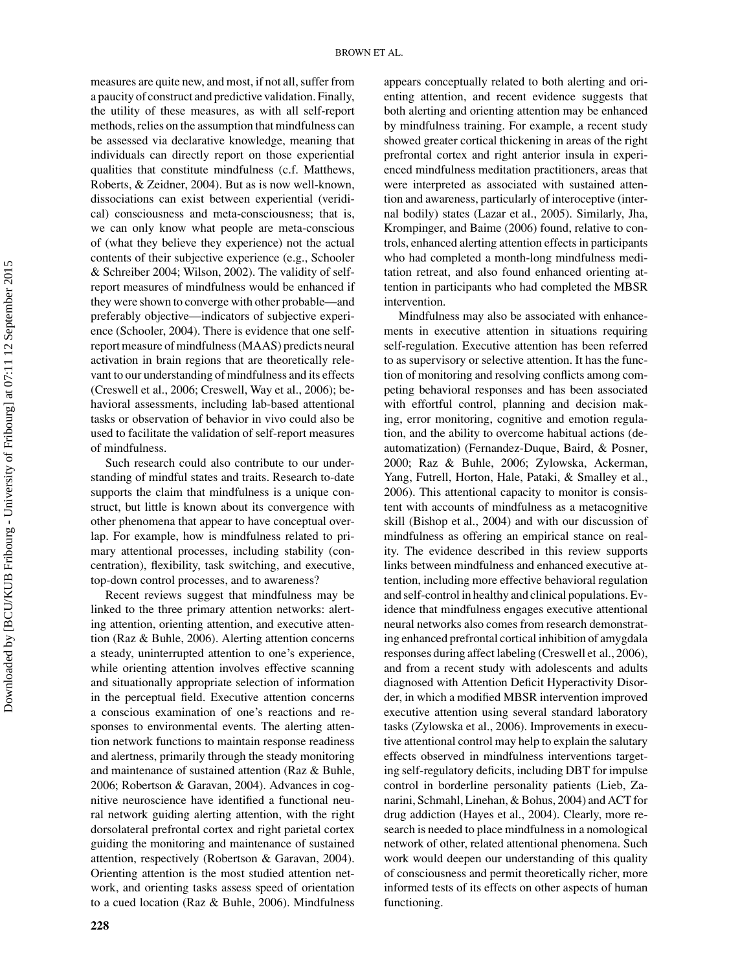measures are quite new, and most, if not all, suffer from a paucity of construct and predictive validation. Finally, the utility of these measures, as with all self-report methods, relies on the assumption that mindfulness can be assessed via declarative knowledge, meaning that individuals can directly report on those experiential qualities that constitute mindfulness (c.f. Matthews, Roberts, & Zeidner, 2004). But as is now well-known, dissociations can exist between experiential (veridical) consciousness and meta-consciousness; that is, we can only know what people are meta-conscious of (what they believe they experience) not the actual contents of their subjective experience (e.g., Schooler & Schreiber 2004; Wilson, 2002). The validity of selfreport measures of mindfulness would be enhanced if they were shown to converge with other probable—and preferably objective—indicators of subjective experience (Schooler, 2004). There is evidence that one selfreport measure of mindfulness (MAAS) predicts neural activation in brain regions that are theoretically relevant to our understanding of mindfulness and its effects (Creswell et al., 2006; Creswell, Way et al., 2006); behavioral assessments, including lab-based attentional tasks or observation of behavior in vivo could also be used to facilitate the validation of self-report measures of mindfulness.

Such research could also contribute to our understanding of mindful states and traits. Research to-date supports the claim that mindfulness is a unique construct, but little is known about its convergence with other phenomena that appear to have conceptual overlap. For example, how is mindfulness related to primary attentional processes, including stability (concentration), flexibility, task switching, and executive, top-down control processes, and to awareness?

Recent reviews suggest that mindfulness may be linked to the three primary attention networks: alerting attention, orienting attention, and executive attention (Raz & Buhle, 2006). Alerting attention concerns a steady, uninterrupted attention to one's experience, while orienting attention involves effective scanning and situationally appropriate selection of information in the perceptual field. Executive attention concerns a conscious examination of one's reactions and responses to environmental events. The alerting attention network functions to maintain response readiness and alertness, primarily through the steady monitoring and maintenance of sustained attention (Raz & Buhle, 2006; Robertson & Garavan, 2004). Advances in cognitive neuroscience have identified a functional neural network guiding alerting attention, with the right dorsolateral prefrontal cortex and right parietal cortex guiding the monitoring and maintenance of sustained attention, respectively (Robertson & Garavan, 2004). Orienting attention is the most studied attention network, and orienting tasks assess speed of orientation to a cued location (Raz & Buhle, 2006). Mindfulness

**228**

appears conceptually related to both alerting and orienting attention, and recent evidence suggests that both alerting and orienting attention may be enhanced by mindfulness training. For example, a recent study showed greater cortical thickening in areas of the right prefrontal cortex and right anterior insula in experienced mindfulness meditation practitioners, areas that were interpreted as associated with sustained attention and awareness, particularly of interoceptive (internal bodily) states (Lazar et al., 2005). Similarly, Jha, Krompinger, and Baime (2006) found, relative to controls, enhanced alerting attention effects in participants who had completed a month-long mindfulness meditation retreat, and also found enhanced orienting attention in participants who had completed the MBSR intervention.

Mindfulness may also be associated with enhancements in executive attention in situations requiring self-regulation. Executive attention has been referred to as supervisory or selective attention. It has the function of monitoring and resolving conflicts among competing behavioral responses and has been associated with effortful control, planning and decision making, error monitoring, cognitive and emotion regulation, and the ability to overcome habitual actions (deautomatization) (Fernandez-Duque, Baird, & Posner, 2000; Raz & Buhle, 2006; Zylowska, Ackerman, Yang, Futrell, Horton, Hale, Pataki, & Smalley et al., 2006). This attentional capacity to monitor is consistent with accounts of mindfulness as a metacognitive skill (Bishop et al., 2004) and with our discussion of mindfulness as offering an empirical stance on reality. The evidence described in this review supports links between mindfulness and enhanced executive attention, including more effective behavioral regulation and self-control in healthy and clinical populations. Evidence that mindfulness engages executive attentional neural networks also comes from research demonstrating enhanced prefrontal cortical inhibition of amygdala responses during affect labeling (Creswell et al., 2006), and from a recent study with adolescents and adults diagnosed with Attention Deficit Hyperactivity Disorder, in which a modified MBSR intervention improved executive attention using several standard laboratory tasks (Zylowska et al., 2006). Improvements in executive attentional control may help to explain the salutary effects observed in mindfulness interventions targeting self-regulatory deficits, including DBT for impulse control in borderline personality patients (Lieb, Zanarini, Schmahl, Linehan, & Bohus, 2004) and ACT for drug addiction (Hayes et al., 2004). Clearly, more research is needed to place mindfulness in a nomological network of other, related attentional phenomena. Such work would deepen our understanding of this quality of consciousness and permit theoretically richer, more informed tests of its effects on other aspects of human functioning.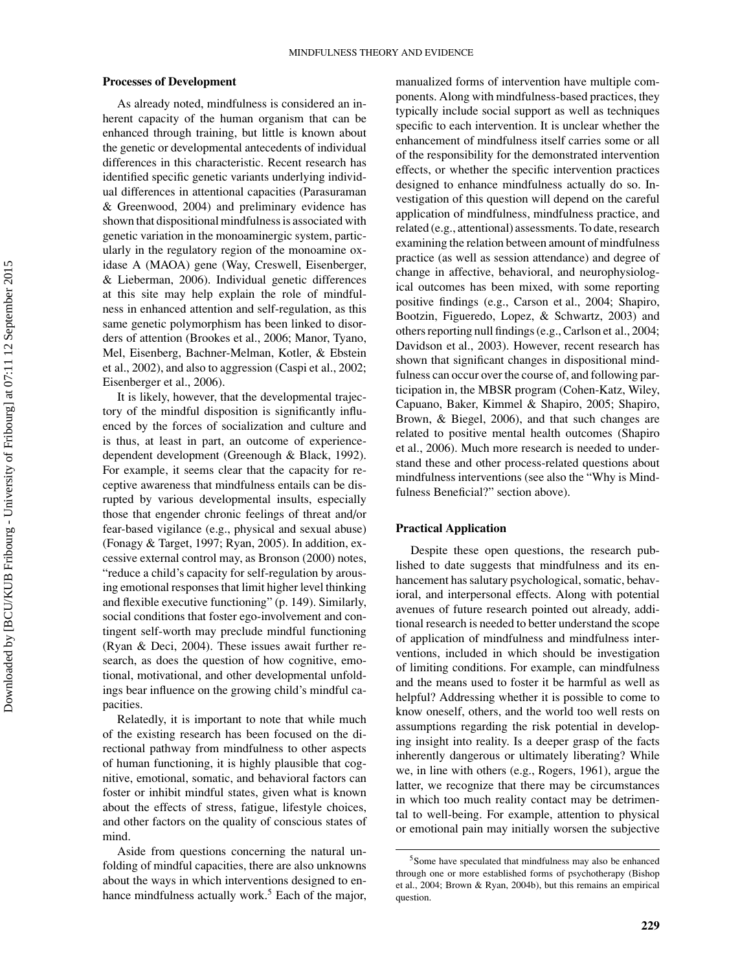# **Processes of Development**

As already noted, mindfulness is considered an inherent capacity of the human organism that can be enhanced through training, but little is known about the genetic or developmental antecedents of individual differences in this characteristic. Recent research has identified specific genetic variants underlying individual differences in attentional capacities (Parasuraman & Greenwood, 2004) and preliminary evidence has shown that dispositional mindfulness is associated with genetic variation in the monoaminergic system, particularly in the regulatory region of the monoamine oxidase A (MAOA) gene (Way, Creswell, Eisenberger, & Lieberman, 2006). Individual genetic differences at this site may help explain the role of mindfulness in enhanced attention and self-regulation, as this same genetic polymorphism has been linked to disorders of attention (Brookes et al., 2006; Manor, Tyano, Mel, Eisenberg, Bachner-Melman, Kotler, & Ebstein et al., 2002), and also to aggression (Caspi et al., 2002; Eisenberger et al., 2006).

It is likely, however, that the developmental trajectory of the mindful disposition is significantly influenced by the forces of socialization and culture and is thus, at least in part, an outcome of experiencedependent development (Greenough & Black, 1992). For example, it seems clear that the capacity for receptive awareness that mindfulness entails can be disrupted by various developmental insults, especially those that engender chronic feelings of threat and/or fear-based vigilance (e.g., physical and sexual abuse) (Fonagy & Target, 1997; Ryan, 2005). In addition, excessive external control may, as Bronson (2000) notes, "reduce a child's capacity for self-regulation by arousing emotional responses that limit higher level thinking and flexible executive functioning" (p. 149). Similarly, social conditions that foster ego-involvement and contingent self-worth may preclude mindful functioning (Ryan & Deci, 2004). These issues await further research, as does the question of how cognitive, emotional, motivational, and other developmental unfoldings bear influence on the growing child's mindful capacities.

Relatedly, it is important to note that while much of the existing research has been focused on the directional pathway from mindfulness to other aspects of human functioning, it is highly plausible that cognitive, emotional, somatic, and behavioral factors can foster or inhibit mindful states, given what is known about the effects of stress, fatigue, lifestyle choices, and other factors on the quality of conscious states of mind.

Aside from questions concerning the natural unfolding of mindful capacities, there are also unknowns about the ways in which interventions designed to enhance mindfulness actually work.<sup>5</sup> Each of the major, manualized forms of intervention have multiple components. Along with mindfulness-based practices, they typically include social support as well as techniques specific to each intervention. It is unclear whether the enhancement of mindfulness itself carries some or all of the responsibility for the demonstrated intervention effects, or whether the specific intervention practices designed to enhance mindfulness actually do so. Investigation of this question will depend on the careful application of mindfulness, mindfulness practice, and related (e.g., attentional) assessments. To date, research examining the relation between amount of mindfulness practice (as well as session attendance) and degree of change in affective, behavioral, and neurophysiological outcomes has been mixed, with some reporting positive findings (e.g., Carson et al., 2004; Shapiro, Bootzin, Figueredo, Lopez, & Schwartz, 2003) and others reporting null findings (e.g., Carlson et al., 2004; Davidson et al., 2003). However, recent research has shown that significant changes in dispositional mindfulness can occur over the course of, and following participation in, the MBSR program (Cohen-Katz, Wiley, Capuano, Baker, Kimmel & Shapiro, 2005; Shapiro, Brown, & Biegel, 2006), and that such changes are related to positive mental health outcomes (Shapiro et al., 2006). Much more research is needed to understand these and other process-related questions about mindfulness interventions (see also the "Why is Mindfulness Beneficial?" section above).

## **Practical Application**

Despite these open questions, the research published to date suggests that mindfulness and its enhancement has salutary psychological, somatic, behavioral, and interpersonal effects. Along with potential avenues of future research pointed out already, additional research is needed to better understand the scope of application of mindfulness and mindfulness interventions, included in which should be investigation of limiting conditions. For example, can mindfulness and the means used to foster it be harmful as well as helpful? Addressing whether it is possible to come to know oneself, others, and the world too well rests on assumptions regarding the risk potential in developing insight into reality. Is a deeper grasp of the facts inherently dangerous or ultimately liberating? While we, in line with others (e.g., Rogers, 1961), argue the latter, we recognize that there may be circumstances in which too much reality contact may be detrimental to well-being. For example, attention to physical or emotional pain may initially worsen the subjective

<sup>5</sup>Some have speculated that mindfulness may also be enhanced through one or more established forms of psychotherapy (Bishop et al., 2004; Brown & Ryan, 2004b), but this remains an empirical question.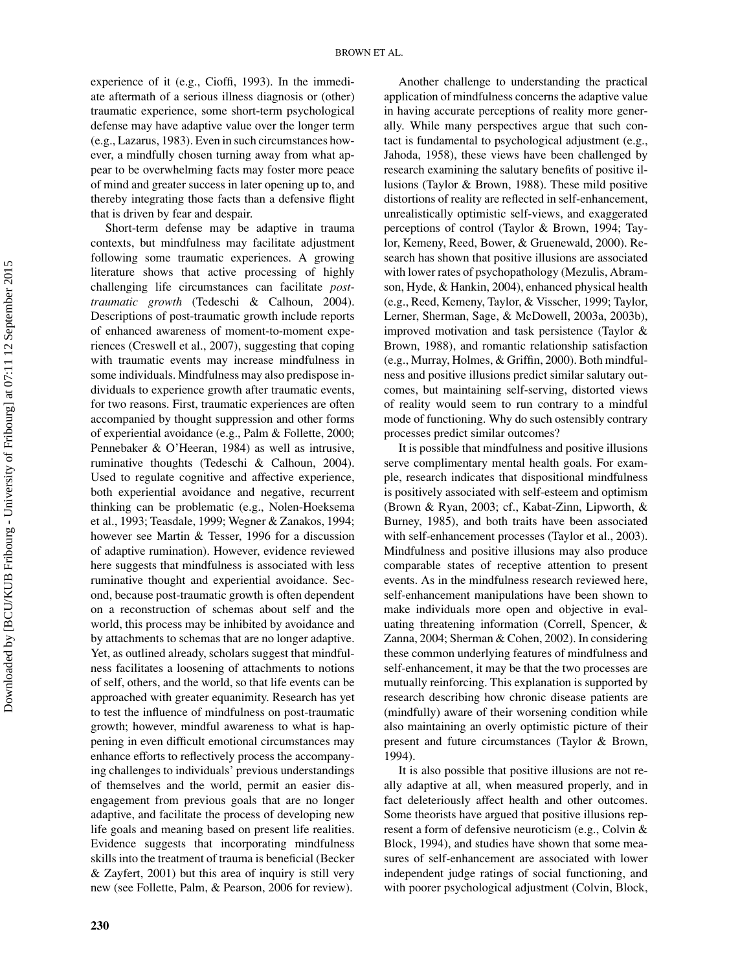experience of it (e.g., Cioffi, 1993). In the immediate aftermath of a serious illness diagnosis or (other) traumatic experience, some short-term psychological defense may have adaptive value over the longer term (e.g., Lazarus, 1983). Even in such circumstances however, a mindfully chosen turning away from what appear to be overwhelming facts may foster more peace of mind and greater success in later opening up to, and thereby integrating those facts than a defensive flight that is driven by fear and despair.

Short-term defense may be adaptive in trauma contexts, but mindfulness may facilitate adjustment following some traumatic experiences. A growing literature shows that active processing of highly challenging life circumstances can facilitate *posttraumatic growth* (Tedeschi & Calhoun, 2004). Descriptions of post-traumatic growth include reports of enhanced awareness of moment-to-moment experiences (Creswell et al., 2007), suggesting that coping with traumatic events may increase mindfulness in some individuals. Mindfulness may also predispose individuals to experience growth after traumatic events, for two reasons. First, traumatic experiences are often accompanied by thought suppression and other forms of experiential avoidance (e.g., Palm & Follette, 2000; Pennebaker & O'Heeran, 1984) as well as intrusive, ruminative thoughts (Tedeschi & Calhoun, 2004). Used to regulate cognitive and affective experience, both experiential avoidance and negative, recurrent thinking can be problematic (e.g., Nolen-Hoeksema et al., 1993; Teasdale, 1999; Wegner & Zanakos, 1994; however see Martin & Tesser, 1996 for a discussion of adaptive rumination). However, evidence reviewed here suggests that mindfulness is associated with less ruminative thought and experiential avoidance. Second, because post-traumatic growth is often dependent on a reconstruction of schemas about self and the world, this process may be inhibited by avoidance and by attachments to schemas that are no longer adaptive. Yet, as outlined already, scholars suggest that mindfulness facilitates a loosening of attachments to notions of self, others, and the world, so that life events can be approached with greater equanimity. Research has yet to test the influence of mindfulness on post-traumatic growth; however, mindful awareness to what is happening in even difficult emotional circumstances may enhance efforts to reflectively process the accompanying challenges to individuals' previous understandings of themselves and the world, permit an easier disengagement from previous goals that are no longer adaptive, and facilitate the process of developing new life goals and meaning based on present life realities. Evidence suggests that incorporating mindfulness skills into the treatment of trauma is beneficial (Becker & Zayfert, 2001) but this area of inquiry is still very new (see Follette, Palm, & Pearson, 2006 for review).

Another challenge to understanding the practical application of mindfulness concerns the adaptive value in having accurate perceptions of reality more generally. While many perspectives argue that such contact is fundamental to psychological adjustment (e.g., Jahoda, 1958), these views have been challenged by research examining the salutary benefits of positive illusions (Taylor & Brown, 1988). These mild positive distortions of reality are reflected in self-enhancement, unrealistically optimistic self-views, and exaggerated perceptions of control (Taylor & Brown, 1994; Taylor, Kemeny, Reed, Bower, & Gruenewald, 2000). Research has shown that positive illusions are associated with lower rates of psychopathology (Mezulis, Abramson, Hyde, & Hankin, 2004), enhanced physical health (e.g., Reed, Kemeny, Taylor, & Visscher, 1999; Taylor, Lerner, Sherman, Sage, & McDowell, 2003a, 2003b), improved motivation and task persistence (Taylor & Brown, 1988), and romantic relationship satisfaction (e.g., Murray, Holmes, & Griffin, 2000). Both mindfulness and positive illusions predict similar salutary outcomes, but maintaining self-serving, distorted views of reality would seem to run contrary to a mindful mode of functioning. Why do such ostensibly contrary processes predict similar outcomes?

It is possible that mindfulness and positive illusions serve complimentary mental health goals. For example, research indicates that dispositional mindfulness is positively associated with self-esteem and optimism (Brown & Ryan, 2003; cf., Kabat-Zinn, Lipworth, & Burney, 1985), and both traits have been associated with self-enhancement processes (Taylor et al., 2003). Mindfulness and positive illusions may also produce comparable states of receptive attention to present events. As in the mindfulness research reviewed here, self-enhancement manipulations have been shown to make individuals more open and objective in evaluating threatening information (Correll, Spencer, & Zanna, 2004; Sherman & Cohen, 2002). In considering these common underlying features of mindfulness and self-enhancement, it may be that the two processes are mutually reinforcing. This explanation is supported by research describing how chronic disease patients are (mindfully) aware of their worsening condition while also maintaining an overly optimistic picture of their present and future circumstances (Taylor & Brown, 1994).

It is also possible that positive illusions are not really adaptive at all, when measured properly, and in fact deleteriously affect health and other outcomes. Some theorists have argued that positive illusions represent a form of defensive neuroticism (e.g., Colvin & Block, 1994), and studies have shown that some measures of self-enhancement are associated with lower independent judge ratings of social functioning, and with poorer psychological adjustment (Colvin, Block,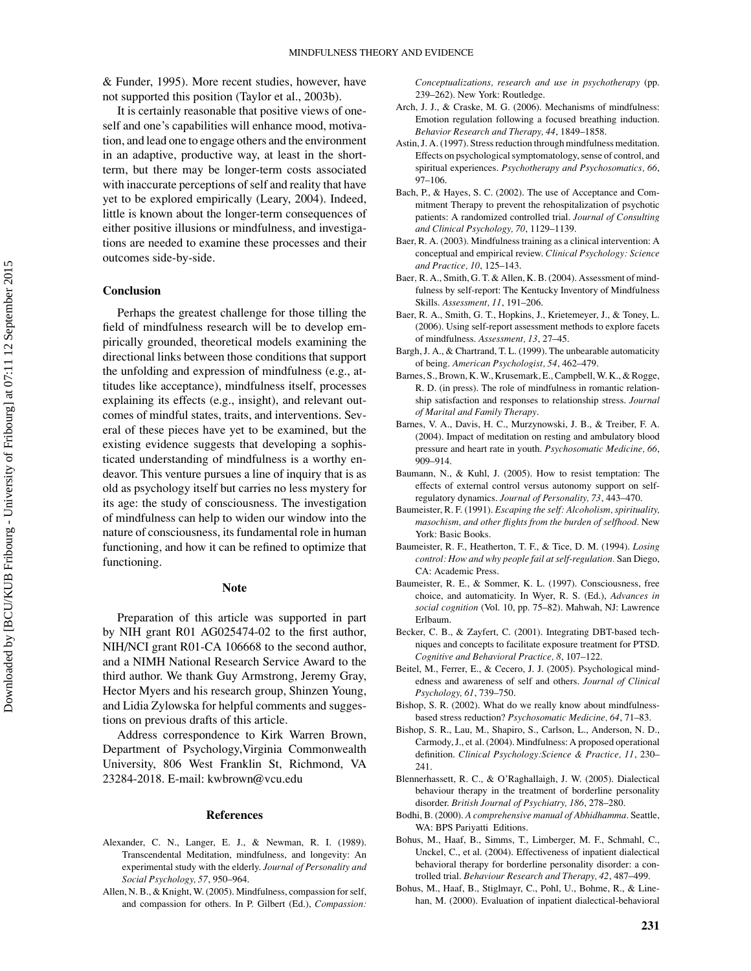& Funder, 1995). More recent studies, however, have not supported this position (Taylor et al., 2003b).

It is certainly reasonable that positive views of oneself and one's capabilities will enhance mood, motivation, and lead one to engage others and the environment in an adaptive, productive way, at least in the shortterm, but there may be longer-term costs associated with inaccurate perceptions of self and reality that have yet to be explored empirically (Leary, 2004). Indeed, little is known about the longer-term consequences of either positive illusions or mindfulness, and investigations are needed to examine these processes and their outcomes side-by-side.

### **Conclusion**

Perhaps the greatest challenge for those tilling the field of mindfulness research will be to develop empirically grounded, theoretical models examining the directional links between those conditions that support the unfolding and expression of mindfulness (e.g., attitudes like acceptance), mindfulness itself, processes explaining its effects (e.g., insight), and relevant outcomes of mindful states, traits, and interventions. Several of these pieces have yet to be examined, but the existing evidence suggests that developing a sophisticated understanding of mindfulness is a worthy endeavor. This venture pursues a line of inquiry that is as old as psychology itself but carries no less mystery for its age: the study of consciousness. The investigation of mindfulness can help to widen our window into the nature of consciousness, its fundamental role in human functioning, and how it can be refined to optimize that functioning.

#### **Note**

Preparation of this article was supported in part by NIH grant R01 AG025474-02 to the first author, NIH/NCI grant R01-CA 106668 to the second author, and a NIMH National Research Service Award to the third author. We thank Guy Armstrong, Jeremy Gray, Hector Myers and his research group, Shinzen Young, and Lidia Zylowska for helpful comments and suggestions on previous drafts of this article.

Address correspondence to Kirk Warren Brown, Department of Psychology,Virginia Commonwealth University, 806 West Franklin St, Richmond, VA 23284-2018. E-mail: kwbrown@vcu.edu

#### **References**

- Alexander, C. N., Langer, E. J., & Newman, R. I. (1989). Transcendental Meditation, mindfulness, and longevity: An experimental study with the elderly. *Journal of Personality and Social Psychology, 57*, 950–964.
- Allen, N. B., & Knight, W. (2005). Mindfulness, compassion for self, and compassion for others. In P. Gilbert (Ed.), *Compassion:*

*Conceptualizations, research and use in psychotherapy* (pp. 239–262). New York: Routledge.

- Arch, J. J., & Craske, M. G. (2006). Mechanisms of mindfulness: Emotion regulation following a focused breathing induction. *Behavior Research and Therapy, 44*, 1849–1858.
- Astin, J. A. (1997). Stress reduction through mindfulness meditation. Effects on psychological symptomatology, sense of control, and spiritual experiences. *Psychotherapy and Psychosomatics, 66*, 97–106.
- Bach, P., & Hayes, S. C. (2002). The use of Acceptance and Commitment Therapy to prevent the rehospitalization of psychotic patients: A randomized controlled trial. *Journal of Consulting and Clinical Psychology, 70*, 1129–1139.
- Baer, R. A. (2003). Mindfulness training as a clinical intervention: A conceptual and empirical review. *Clinical Psychology: Science and Practice, 10*, 125–143.
- Baer*,* R. A., Smith, G. T. & Allen, K. B. (2004). Assessment of mindfulness by self-report: The Kentucky Inventory of Mindfulness Skills. *Assessment, 11*, 191–206.
- Baer, R. A., Smith, G. T., Hopkins, J., Krietemeyer, J., & Toney, L. (2006). Using self-report assessment methods to explore facets of mindfulness. *Assessment, 13*, 27–45.
- Bargh, J. A., & Chartrand, T. L. (1999). The unbearable automaticity of being. *American Psychologist, 54*, 462–479.
- Barnes, S., Brown, K. W., Krusemark, E., Campbell, W. K., & Rogge, R. D. (in press). The role of mindfulness in romantic relationship satisfaction and responses to relationship stress. *Journal of Marital and Family Therapy*.
- Barnes, V. A., Davis, H. C., Murzynowski, J. B., & Treiber, F. A. (2004). Impact of meditation on resting and ambulatory blood pressure and heart rate in youth. *Psychosomatic Medicine, 66*, 909–914.
- Baumann, N., & Kuhl, J. (2005). How to resist temptation: The effects of external control versus autonomy support on selfregulatory dynamics. *Journal of Personality, 73*, 443–470.
- Baumeister, R. F. (1991). *Escaping the self: Alcoholism, spirituality, masochism, and other flights from the burden of selfhood.* New York: Basic Books.
- Baumeister, R. F., Heatherton, T. F., & Tice, D. M. (1994). *Losing control: How and why people fail at self-regulation.* San Diego, CA: Academic Press.
- Baumeister, R. E., & Sommer, K. L. (1997). Consciousness, free choice, and automaticity. In Wyer, R. S. (Ed.), *Advances in social cognition* (Vol. 10, pp. 75–82). Mahwah, NJ: Lawrence Erlbaum.
- Becker, C. B., & Zayfert, C. (2001). Integrating DBT-based techniques and concepts to facilitate exposure treatment for PTSD. *Cognitive and Behavioral Practice, 8*, 107–122.
- Beitel, M., Ferrer, E., & Cecero, J. J. (2005). Psychological mindedness and awareness of self and others. *Journal of Clinical Psychology, 61*, 739–750.
- Bishop, S. R. (2002). What do we really know about mindfulnessbased stress reduction? *Psychosomatic Medicine, 64*, 71–83.
- Bishop, S. R., Lau, M., Shapiro, S., Carlson, L., Anderson, N. D., Carmody, J., et al. (2004). Mindfulness: A proposed operational definition. *Clinical Psychology:Science & Practice, 11*, 230– 241.
- Blennerhassett, R. C., & O'Raghallaigh, J. W. (2005). Dialectical behaviour therapy in the treatment of borderline personality disorder. *British Journal of Psychiatry, 186*, 278–280.
- Bodhi, B. (2000). *A comprehensive manual of Abhidhamma*. Seattle, WA: BPS Pariyatti Editions.
- Bohus, M., Haaf, B., Simms, T., Limberger, M. F., Schmahl, C., Unckel, C., et al. (2004). Effectiveness of inpatient dialectical behavioral therapy for borderline personality disorder: a controlled trial. *Behaviour Research and Therapy, 42*, 487–499.
- Bohus, M., Haaf, B., Stiglmayr, C., Pohl, U., Bohme, R., & Linehan, M. (2000). Evaluation of inpatient dialectical-behavioral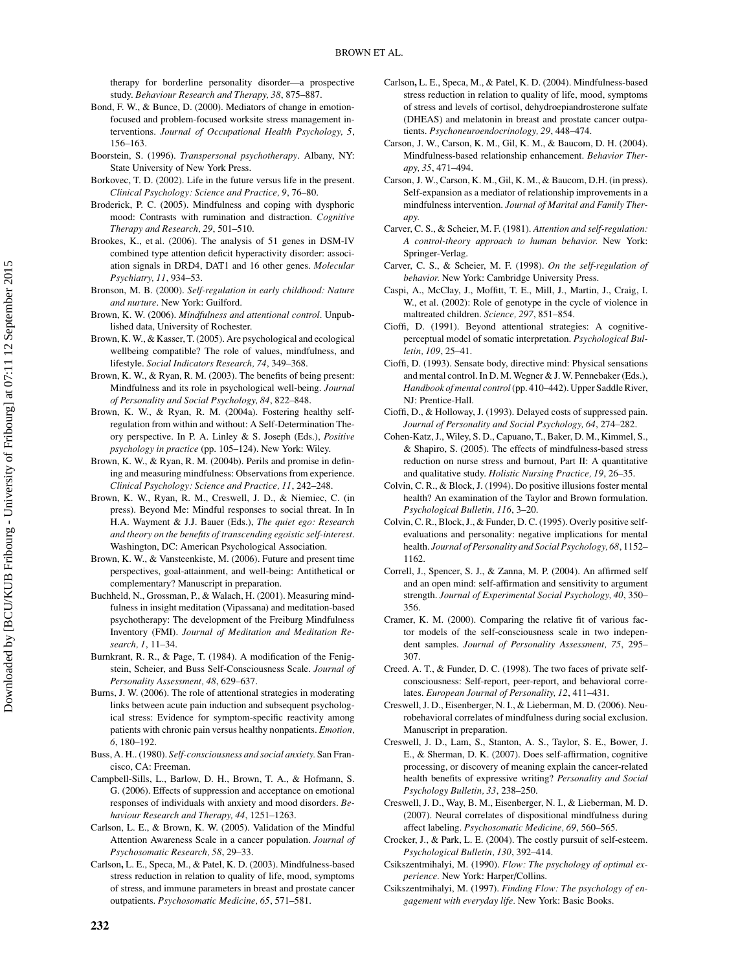therapy for borderline personality disorder—a prospective study. *Behaviour Research and Therapy, 38*, 875–887.

- Bond, F. W., & Bunce, D. (2000). Mediators of change in emotionfocused and problem-focused worksite stress management interventions. *Journal of Occupational Health Psychology, 5*, 156–163.
- Boorstein, S. (1996). *Transpersonal psychotherapy*. Albany, NY: State University of New York Press.
- Borkovec, T. D. (2002). Life in the future versus life in the present. *Clinical Psychology: Science and Practice, 9*, 76–80.
- Broderick, P. C. (2005). Mindfulness and coping with dysphoric mood: Contrasts with rumination and distraction. *Cognitive Therapy and Research, 29*, 501–510.
- Brookes, K., et al. (2006). The analysis of 51 genes in DSM-IV combined type attention deficit hyperactivity disorder: association signals in DRD4, DAT1 and 16 other genes. *Molecular Psychiatry, 11*, 934–53.
- Bronson, M. B. (2000). *Self-regulation in early childhood: Nature and nurture*. New York: Guilford.
- Brown, K. W. (2006). *Mindfulness and attentional control.* Unpublished data, University of Rochester.
- Brown, K. W., & Kasser, T. (2005). Are psychological and ecological wellbeing compatible? The role of values, mindfulness, and lifestyle. *Social Indicators Research, 74*, 349–368.
- Brown, K. W., & Ryan, R. M. (2003). The benefits of being present: Mindfulness and its role in psychological well-being. *Journal of Personality and Social Psychology, 84*, 822–848.
- Brown, K. W., & Ryan, R. M. (2004a). Fostering healthy selfregulation from within and without: A Self-Determination Theory perspective. In P. A. Linley & S. Joseph (Eds.), *Positive psychology in practice* (pp. 105–124). New York: Wiley.
- Brown, K. W., & Ryan, R. M. (2004b). Perils and promise in defining and measuring mindfulness: Observations from experience. *Clinical Psychology: Science and Practice, 11*, 242–248.
- Brown, K. W., Ryan, R. M., Creswell, J. D., & Niemiec, C. (in press). Beyond Me: Mindful responses to social threat. In In H.A. Wayment & J.J. Bauer (Eds.), *The quiet ego: Research and theory on the benefits of transcending egoistic self-interest*. Washington, DC: American Psychological Association.
- Brown, K. W., & Vansteenkiste, M. (2006). Future and present time perspectives, goal-attainment, and well-being: Antithetical or complementary? Manuscript in preparation.
- Buchheld, N., Grossman, P., & Walach, H. (2001). Measuring mindfulness in insight meditation (Vipassana) and meditation-based psychotherapy: The development of the Freiburg Mindfulness Inventory (FMI). *Journal of Meditation and Meditation Research, 1*, 11–34.
- Burnkrant, R. R., & Page, T. (1984). A modification of the Fenigstein, Scheier, and Buss Self-Consciousness Scale. *Journal of Personality Assessment, 48*, 629–637.
- Burns, J. W. (2006). The role of attentional strategies in moderating links between acute pain induction and subsequent psychological stress: Evidence for symptom-specific reactivity among patients with chronic pain versus healthy nonpatients. *Emotion, 6*, 180–192.
- Buss, A. H.. (1980). *Self-consciousness and social anxiety.* San Francisco, CA: Freeman.
- Campbell-Sills, L., Barlow, D. H., Brown, T. A., & Hofmann, S. G. (2006). Effects of suppression and acceptance on emotional responses of individuals with anxiety and mood disorders. *Behaviour Research and Therapy, 44*, 1251–1263.
- Carlson, L. E., & Brown, K. W. (2005). Validation of the Mindful Attention Awareness Scale in a cancer population. *Journal of Psychosomatic Research, 58*, 29–33.
- Carlson**,** L. E., Speca, M., & Patel, K. D. (2003). Mindfulness-based stress reduction in relation to quality of life, mood, symptoms of stress, and immune parameters in breast and prostate cancer outpatients. *Psychosomatic Medicine, 65*, 571–581.
- Carlson**,** L. E., Speca, M., & Patel, K. D. (2004). Mindfulness-based stress reduction in relation to quality of life, mood, symptoms of stress and levels of cortisol, dehydroepiandrosterone sulfate (DHEAS) and melatonin in breast and prostate cancer outpatients. *Psychoneuroendocrinology, 29*, 448–474.
- Carson*,* J. W., Carson, K. M., Gil, K. M., & Baucom, D. H. (2004). Mindfulness-based relationship enhancement. *Behavior Therapy, 35*, 471–494.
- Carson*,*J. W., Carson, K. M., Gil, K. M., & Baucom, D.H. (in press). Self-expansion as a mediator of relationship improvements in a mindfulness intervention. *Journal of Marital and Family Therapy.*
- Carver, C. S., & Scheier, M. F. (1981). *Attention and self-regulation: A control-theory approach to human behavior.* New York: Springer-Verlag.
- Carver, C. S., & Scheier, M. F. (1998). *On the self-regulation of behavior.* New York: Cambridge University Press.
- Caspi, A., McClay, J., Moffitt, T. E., Mill, J., Martin, J., Craig, I. W., et al. (2002): Role of genotype in the cycle of violence in maltreated children. *Science, 297*, 851–854.
- Cioffi, D. (1991). Beyond attentional strategies: A cognitiveperceptual model of somatic interpretation. *Psychological Bulletin, 109*, 25–41.
- Cioffi, D. (1993). Sensate body, directive mind: Physical sensations and mental control. In D. M. Wegner & J. W. Pennebaker (Eds.), *Handbook of mental control*(pp. 410–442). Upper Saddle River, NJ: Prentice-Hall.
- Cioffi, D., & Holloway, J. (1993). Delayed costs of suppressed pain. *Journal of Personality and Social Psychology, 64*, 274–282.
- Cohen-Katz, J., Wiley, S. D., Capuano, T., Baker, D. M., Kimmel, S., & Shapiro, S. (2005). The effects of mindfulness-based stress reduction on nurse stress and burnout, Part II: A quantitative and qualitative study. *Holistic Nursing Practice, 19*, 26–35.
- Colvin, C. R., & Block, J. (1994). Do positive illusions foster mental health? An examination of the Taylor and Brown formulation. *Psychological Bulletin, 116*, 3–20.
- Colvin, C. R., Block, J., & Funder, D. C. (1995). Overly positive selfevaluations and personality: negative implications for mental health. *Journal of Personality and Social Psychology, 68*, 1152– 1162.
- Correll, J., Spencer, S. J., & Zanna, M. P. (2004). An affirmed self and an open mind: self-affirmation and sensitivity to argument strength. *Journal of Experimental Social Psychology, 40*, 350– 356.
- Cramer, K. M. (2000). Comparing the relative fit of various factor models of the self-consciousness scale in two independent samples. *Journal of Personality Assessment, 75*, 295– 307.
- Creed. A. T., & Funder, D. C. (1998). The two faces of private selfconsciousness: Self-report, peer-report, and behavioral correlates. *European Journal of Personality, 12*, 411–431.
- Creswell, J. D., Eisenberger, N. I., & Lieberman, M. D. (2006). Neurobehavioral correlates of mindfulness during social exclusion. Manuscript in preparation.
- Creswell, J. D., Lam, S., Stanton, A. S., Taylor, S. E., Bower, J. E., & Sherman, D. K. (2007). Does self-affirmation, cognitive processing, or discovery of meaning explain the cancer-related health benefits of expressive writing? *Personality and Social Psychology Bulletin, 33*, 238–250.
- Creswell, J. D., Way, B. M., Eisenberger, N. I., & Lieberman, M. D. (2007). Neural correlates of dispositional mindfulness during affect labeling. *Psychosomatic Medicine, 69*, 560–565.
- Crocker, J., & Park, L. E. (2004). The costly pursuit of self-esteem. *Psychological Bulletin, 130*, 392–414.
- Csikszentmihalyi, M. (1990). *Flow: The psychology of optimal experience.* New York: Harper/Collins.
- Csikszentmihalyi, M. (1997). *Finding Flow: The psychology of engagement with everyday life.* New York: Basic Books.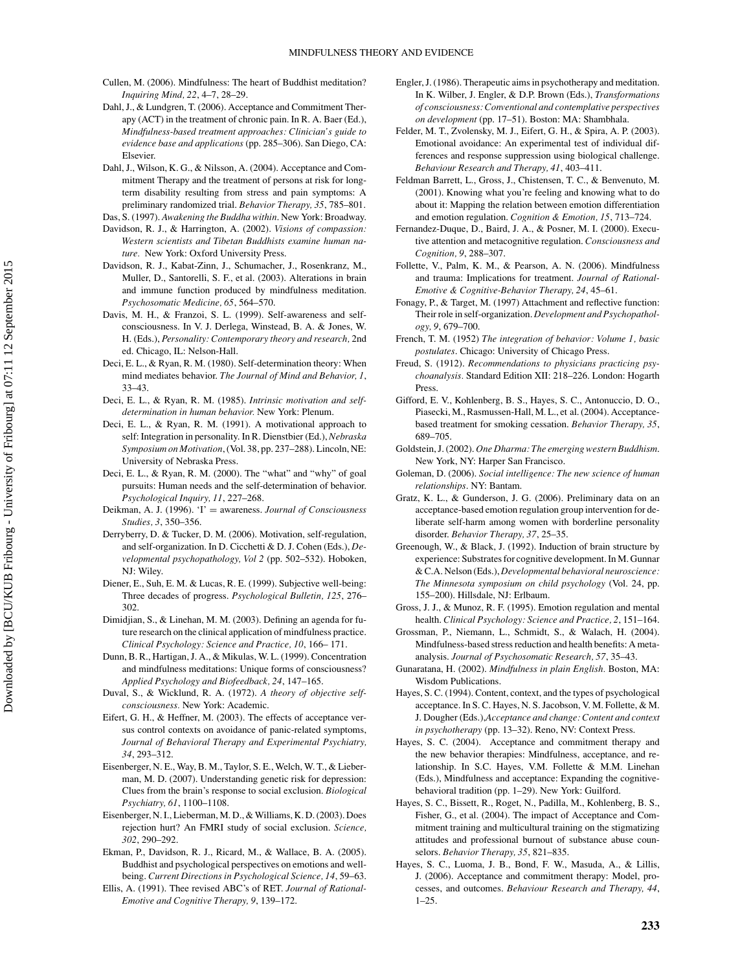- Cullen, M. (2006). Mindfulness: The heart of Buddhist meditation? *Inquiring Mind, 22*, 4–7, 28–29.
- Dahl, J., & Lundgren, T. (2006). Acceptance and Commitment Therapy (ACT) in the treatment of chronic pain. In R. A. Baer (Ed.), *Mindfulness-based treatment approaches: Clinician's guide to evidence base and applications* (pp. 285–306). San Diego, CA: Elsevier.
- Dahl, J., Wilson, K. G., & Nilsson, A. (2004). Acceptance and Commitment Therapy and the treatment of persons at risk for longterm disability resulting from stress and pain symptoms: A preliminary randomized trial. *Behavior Therapy, 35*, 785–801. Das, S. (1997). *Awakening the Buddha within*. New York: Broadway.
- Davidson, R. J., & Harrington, A. (2002). *Visions of compassion: Western scientists and Tibetan Buddhists examine human nature.* New York: Oxford University Press.
- Davidson, R. J., Kabat-Zinn, J., Schumacher, J., Rosenkranz, M., Muller, D., Santorelli, S. F., et al. (2003). Alterations in brain and immune function produced by mindfulness meditation. *Psychosomatic Medicine, 65*, 564–570.
- Davis, M. H., & Franzoi, S. L. (1999). Self-awareness and selfconsciousness. In V. J. Derlega, Winstead, B. A. & Jones, W. H. (Eds.), *Personality: Contemporary theory and research,* 2nd ed. Chicago, IL: Nelson-Hall.
- Deci, E. L., & Ryan, R. M. (1980). Self-determination theory: When mind mediates behavior. *The Journal of Mind and Behavior, 1*, 33–43.
- Deci, E. L., & Ryan, R. M. (1985). *Intrinsic motivation and selfdetermination in human behavior.* New York: Plenum.
- Deci, E. L., & Ryan, R. M. (1991). A motivational approach to self: Integration in personality. In R. Dienstbier (Ed.), *Nebraska Symposium on Motivation*, (Vol. 38, pp. 237–288). Lincoln, NE: University of Nebraska Press.
- Deci, E. L., & Ryan, R. M. (2000). The "what" and "why" of goal pursuits: Human needs and the self-determination of behavior. *Psychological Inquiry, 11*, 227–268.
- Deikman, A. J. (1996). 'I' = awareness. *Journal of Consciousness Studies, 3*, 350–356.
- Derryberry, D. & Tucker, D. M. (2006). Motivation, self-regulation, and self-organization. In D. Cicchetti & D. J. Cohen (Eds.), *Developmental psychopathology, Vol 2* (pp. 502–532). Hoboken, NJ: Wiley.
- Diener, E., Suh, E. M. & Lucas, R. E. (1999). Subjective well-being: Three decades of progress. *Psychological Bulletin, 125*, 276– 302
- Dimidjian, S., & Linehan, M. M. (2003). Defining an agenda for future research on the clinical application of mindfulness practice. *Clinical Psychology: Science and Practice, 10*, 166– 171.
- Dunn, B. R., Hartigan, J. A., & Mikulas, W. L. (1999). Concentration and mindfulness meditations: Unique forms of consciousness? *Applied Psychology and Biofeedback, 24*, 147–165.
- Duval, S., & Wicklund, R. A. (1972). *A theory of objective selfconsciousness.* New York: Academic.
- Eifert, G. H., & Heffner, M. (2003). The effects of acceptance versus control contexts on avoidance of panic-related symptoms, *Journal of Behavioral Therapy and Experimental Psychiatry, 34*, 293–312.
- Eisenberger, N. E., Way, B. M., Taylor, S. E., Welch, W. T., & Lieberman, M. D. (2007). Understanding genetic risk for depression: Clues from the brain's response to social exclusion. *Biological Psychiatry, 61*, 1100–1108.
- Eisenberger, N. I., Lieberman, M. D., & Williams, K. D. (2003). Does rejection hurt? An FMRI study of social exclusion. *Science, 302*, 290–292.
- Ekman, P., Davidson, R. J., Ricard, M., & Wallace, B. A. (2005). Buddhist and psychological perspectives on emotions and wellbeing. *Current Directions in Psychological Science, 14*, 59–63.
- Ellis, A. (1991). Thee revised ABC's of RET. *Journal of Rational-Emotive and Cognitive Therapy, 9*, 139–172.
- Engler, J. (1986). Therapeutic aims in psychotherapy and meditation. In K. Wilber, J. Engler, & D.P. Brown (Eds.), *Transformations of consciousness: Conventional and contemplative perspectives on development* (pp. 17–51). Boston: MA: Shambhala.
- Felder, M. T., Zvolensky, M. J., Eifert, G. H., & Spira, A. P. (2003). Emotional avoidance: An experimental test of individual differences and response suppression using biological challenge. *Behaviour Research and Therapy, 41*, 403–411.
- Feldman Barrett, L., Gross, J., Chistensen, T. C., & Benvenuto, M. (2001). Knowing what you're feeling and knowing what to do about it: Mapping the relation between emotion differentiation and emotion regulation. *Cognition & Emotion, 15*, 713–724.
- Fernandez-Duque, D., Baird, J. A., & Posner, M. I. (2000). Executive attention and metacognitive regulation. *Consciousness and Cognition, 9*, 288–307.
- Follette, V., Palm, K. M., & Pearson, A. N. (2006). Mindfulness and trauma: Implications for treatment. *Journal of Rational-Emotive & Cognitive-Behavior Therapy, 24*, 45–61.
- Fonagy, P., & Target, M. (1997) Attachment and reflective function: Their role in self-organization. *Development and Psychopathology, 9*, 679–700.
- French, T. M. (1952) *The integration of behavior: Volume 1, basic postulates*. Chicago: University of Chicago Press.
- Freud, S. (1912). *Recommendations to physicians practicing psychoanalysis.* Standard Edition XII: 218–226. London: Hogarth Press.
- Gifford, E. V., Kohlenberg, B. S., Hayes, S. C., Antonuccio, D. O., Piasecki, M., Rasmussen-Hall, M. L., et al. (2004). Acceptancebased treatment for smoking cessation. *Behavior Therapy, 35*, 689–705.
- Goldstein, J. (2002). *One Dharma: The emerging western Buddhism*. New York, NY: Harper San Francisco.
- Goleman, D. (2006). *Social intelligence: The new science of human relationships*. NY: Bantam.
- Gratz, K. L., & Gunderson, J. G. (2006). Preliminary data on an acceptance-based emotion regulation group intervention for deliberate self-harm among women with borderline personality disorder. *Behavior Therapy, 37*, 25–35.
- Greenough, W., & Black, J. (1992). Induction of brain structure by experience: Substrates for cognitive development. In M. Gunnar & C.A. Nelson (Eds.), *Developmental behavioral neuroscience: The Minnesota symposium on child psychology* (Vol. 24, pp. 155–200). Hillsdale, NJ: Erlbaum.
- Gross, J. J., & Munoz, R. F. (1995). Emotion regulation and mental health. *Clinical Psychology: Science and Practice, 2*, 151–164.
- Grossman, P., Niemann, L., Schmidt, S., & Walach, H. (2004). Mindfulness-based stress reduction and health benefits: A metaanalysis. *Journal of Psychosomatic Research, 57*, 35–43.
- Gunaratana, H. (2002). *Mindfulness in plain English.* Boston, MA: Wisdom Publications.
- Hayes, S. C. (1994). Content, context, and the types of psychological acceptance. In S. C. Hayes, N. S. Jacobson, V. M. Follette, & M. J. Dougher (Eds*.*),*Acceptance and change: Content and context in psychotherapy* (pp. 13–32). Reno, NV: Context Press.
- Hayes, S. C. (2004). Acceptance and commitment therapy and the new behavior therapies: Mindfulness, acceptance, and relationship. In S.C. Hayes, V.M. Follette & M.M. Linehan (Eds.), Mindfulness and acceptance: Expanding the cognitivebehavioral tradition (pp. 1–29). New York: Guilford.
- Hayes, S. C., Bissett, R., Roget, N., Padilla, M., Kohlenberg, B. S., Fisher, G., et al. (2004). The impact of Acceptance and Commitment training and multicultural training on the stigmatizing attitudes and professional burnout of substance abuse counselors. *Behavior Therapy, 35*, 821–835.
- Hayes, S. C., Luoma, J. B., Bond, F. W., Masuda, A., & Lillis, J. (2006). Acceptance and commitment therapy: Model, processes, and outcomes. *Behaviour Research and Therapy, 44*, 1–25.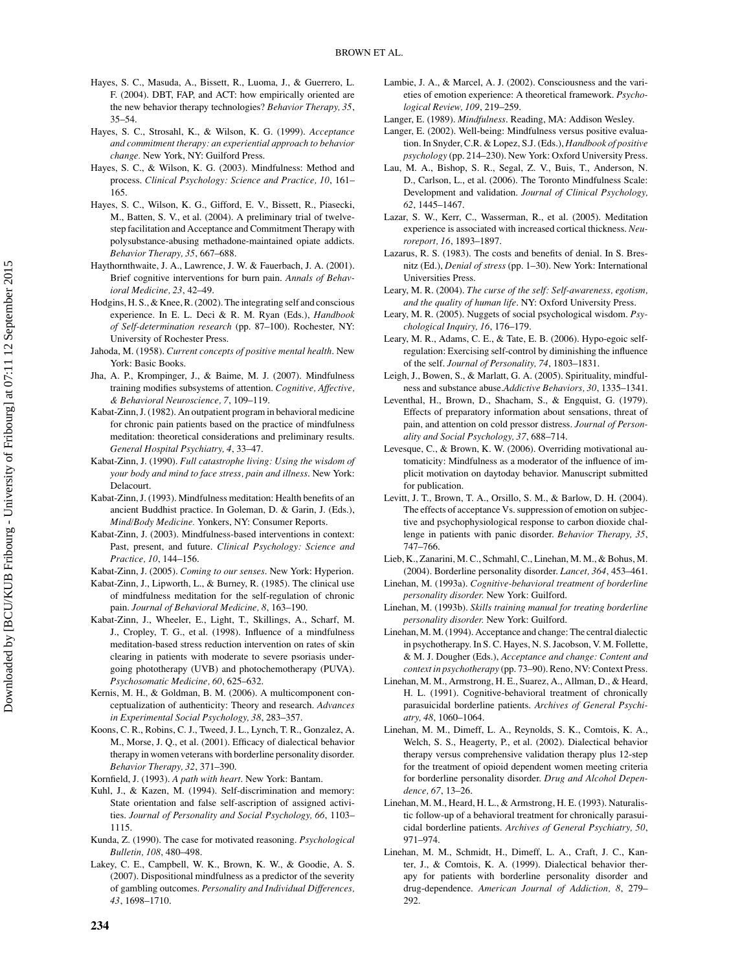- Hayes, S. C., Masuda, A., Bissett, R., Luoma, J., & Guerrero, L. F. (2004). DBT, FAP, and ACT: how empirically oriented are the new behavior therapy technologies? *Behavior Therapy, 35*, 35–54.
- Hayes, S. C., Strosahl, K., & Wilson, K. G. (1999). *Acceptance and commitment therapy: an experiential approach to behavior change.* New York, NY: Guilford Press.
- Hayes, S. C., & Wilson, K. G. (2003). Mindfulness: Method and process. *Clinical Psychology: Science and Practice, 10*, 161– 165.
- Hayes, S. C., Wilson, K. G., Gifford, E. V., Bissett, R., Piasecki, M., Batten, S. V., et al. (2004). A preliminary trial of twelvestep facilitation and Acceptance and Commitment Therapy with polysubstance-abusing methadone-maintained opiate addicts. *Behavior Therapy, 35*, 667–688.
- Haythornthwaite, J. A., Lawrence, J. W. & Fauerbach, J. A. (2001). Brief cognitive interventions for burn pain. *Annals of Behavioral Medicine, 23*, 42–49.
- Hodgins, H. S., & Knee, R. (2002). The integrating self and conscious experience. In E. L. Deci & R. M. Ryan (Eds.), *Handbook of Self-determination research* (pp. 87–100). Rochester, NY: University of Rochester Press.
- Jahoda, M. (1958). *Current concepts of positive mental health*. New York: Basic Books.
- Jha, A. P., Krompinger, J., & Baime, M. J. (2007). Mindfulness training modifies subsystems of attention. *Cognitive, Affective, & Behavioral Neuroscience, 7*, 109–119.
- Kabat-Zinn, J. (1982). An outpatient program in behavioral medicine for chronic pain patients based on the practice of mindfulness meditation: theoretical considerations and preliminary results. *General Hospital Psychiatry, 4*, 33–47.
- Kabat-Zinn, J. (1990). *Full catastrophe living: Using the wisdom of your body and mind to face stress, pain and illness*. New York: Delacourt.
- Kabat-Zinn, J. (1993). Mindfulness meditation: Health benefits of an ancient Buddhist practice. In Goleman, D. & Garin, J. (Eds.), *Mind/Body Medicine.* Yonkers, NY: Consumer Reports.
- Kabat-Zinn, J. (2003). Mindfulness-based interventions in context: Past, present, and future. *Clinical Psychology: Science and Practice, 10*, 144–156.
- Kabat-Zinn, J. (2005). *Coming to our senses*. New York: Hyperion.
- Kabat-Zinn, J., Lipworth, L., & Burney, R. (1985). The clinical use of mindfulness meditation for the self-regulation of chronic pain. *Journal of Behavioral Medicine, 8*, 163–190.
- Kabat-Zinn, J., Wheeler, E., Light, T., Skillings, A., Scharf, M. J., Cropley, T. G., et al. (1998). Influence of a mindfulness meditation-based stress reduction intervention on rates of skin clearing in patients with moderate to severe psoriasis undergoing phototherapy (UVB) and photochemotherapy (PUVA). *Psychosomatic Medicine, 60*, 625–632.
- Kernis, M. H., & Goldman, B. M. (2006). A multicomponent conceptualization of authenticity: Theory and research. *Advances in Experimental Social Psychology, 38*, 283–357.
- Koons, C. R., Robins, C. J., Tweed, J. L., Lynch, T. R., Gonzalez, A. M., Morse, J. Q., et al. (2001). Efficacy of dialectical behavior therapy in women veterans with borderline personality disorder. *Behavior Therapy, 32*, 371–390.
- Kornfield, J. (1993). *A path with heart*. New York: Bantam.
- Kuhl, J., & Kazen, M. (1994). Self-discrimination and memory: State orientation and false self-ascription of assigned activities. *Journal of Personality and Social Psychology, 66*, 1103– 1115.
- Kunda, Z. (1990). The case for motivated reasoning. *Psychological Bulletin, 108*, 480–498.
- Lakey, C. E., Campbell, W. K., Brown, K. W., & Goodie, A. S. (2007). Dispositional mindfulness as a predictor of the severity of gambling outcomes. *Personality and Individual Differences, 43*, 1698–1710.
- Lambie, J. A., & Marcel, A. J. (2002). Consciousness and the varieties of emotion experience: A theoretical framework. *Psychological Review, 109*, 219–259.
- Langer, E. (1989). *Mindfulness*. Reading, MA: Addison Wesley.
- Langer, E. (2002). Well-being: Mindfulness versus positive evaluation. In Snyder, C.R. & Lopez, S.J. (Eds.), *Handbook of positive psychology* (pp. 214–230). New York: Oxford University Press.
- Lau, M. A., Bishop, S. R., Segal, Z. V., Buis, T., Anderson, N. D., Carlson, L., et al. (2006). The Toronto Mindfulness Scale: Development and validation. *Journal of Clinical Psychology, 62*, 1445–1467.
- Lazar, S. W., Kerr, C., Wasserman, R., et al. (2005). Meditation experience is associated with increased cortical thickness. *Neuroreport, 16*, 1893–1897.
- Lazarus, R. S. (1983). The costs and benefits of denial. In S. Bresnitz (Ed.), *Denial of stress* (pp. 1–30). New York: International Universities Press.
- Leary, M. R. (2004). *The curse of the self: Self-awareness, egotism, and the quality of human life*. NY: Oxford University Press.
- Leary, M. R. (2005). Nuggets of social psychological wisdom. *Psychological Inquiry, 16*, 176–179.
- Leary, M. R., Adams, C. E., & Tate, E. B. (2006). Hypo-egoic selfregulation: Exercising self-control by diminishing the influence of the self. *Journal of Personality, 74*, 1803–1831.
- Leigh, J., Bowen, S., & Marlatt, G. A. (2005). Spirituality, mindfulness and substance abuse.*Addictive Behaviors, 30*, 1335–1341.
- Leventhal, H., Brown, D., Shacham, S., & Engquist, G. (1979). Effects of preparatory information about sensations, threat of pain, and attention on cold pressor distress. *Journal of Personality and Social Psychology, 37*, 688–714.
- Levesque, C., & Brown, K. W. (2006). Overriding motivational automaticity: Mindfulness as a moderator of the influence of implicit motivation on daytoday behavior. Manuscript submitted for publication.
- Levitt, J. T., Brown, T. A., Orsillo, S. M., & Barlow, D. H. (2004). The effects of acceptance Vs. suppression of emotion on subjective and psychophysiological response to carbon dioxide challenge in patients with panic disorder. *Behavior Therapy, 35*, 747–766.
- Lieb, K., Zanarini, M. C., Schmahl, C., Linehan, M. M., & Bohus, M. (2004). Borderline personality disorder. *Lancet, 364*, 453–461.
- Linehan, M. (1993a). *Cognitive-behavioral treatment of borderline personality disorder.* New York: Guilford.
- Linehan, M. (1993b). *Skills training manual for treating borderline personality disorder.* New York: Guilford.
- Linehan, M. M. (1994). Acceptance and change: The central dialectic in psychotherapy. In S. C. Hayes, N. S. Jacobson, V. M. Follette, & M. J. Dougher (Eds.), *Acceptance and change: Content and context in psychotherapy* (pp. 73–90). Reno, NV: Context Press.
- Linehan, M. M., Armstrong, H. E., Suarez, A., Allman, D., & Heard, H. L. (1991). Cognitive-behavioral treatment of chronically parasuicidal borderline patients. *Archives of General Psychiatry, 48*, 1060–1064.
- Linehan, M. M., Dimeff, L. A., Reynolds, S. K., Comtois, K. A., Welch, S. S., Heagerty, P., et al. (2002). Dialectical behavior therapy versus comprehensive validation therapy plus 12-step for the treatment of opioid dependent women meeting criteria for borderline personality disorder. *Drug and Alcohol Dependence, 67*, 13–26.
- Linehan, M. M., Heard, H. L., & Armstrong, H. E. (1993). Naturalistic follow-up of a behavioral treatment for chronically parasuicidal borderline patients. *Archives of General Psychiatry, 50*, 971–974.
- Linehan, M. M., Schmidt, H., Dimeff, L. A., Craft, J. C., Kanter, J., & Comtois, K. A. (1999). Dialectical behavior therapy for patients with borderline personality disorder and drug-dependence. *American Journal of Addiction, 8*, 279– 292.

**234**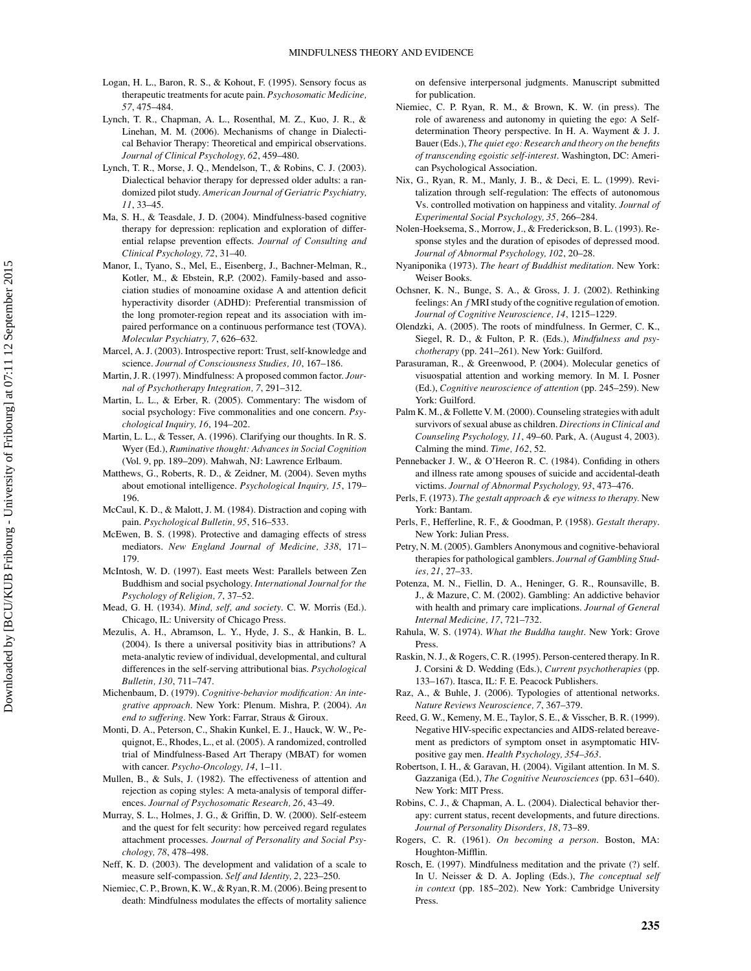- Logan, H. L., Baron, R. S., & Kohout, F. (1995). Sensory focus as therapeutic treatments for acute pain. *Psychosomatic Medicine, 57*, 475–484.
- Lynch, T. R., Chapman, A. L., Rosenthal, M. Z., Kuo, J. R., & Linehan, M. M. (2006). Mechanisms of change in Dialectical Behavior Therapy: Theoretical and empirical observations. *Journal of Clinical Psychology, 62*, 459–480.
- Lynch, T. R., Morse, J. Q., Mendelson, T., & Robins, C. J. (2003). Dialectical behavior therapy for depressed older adults: a randomized pilot study. *American Journal of Geriatric Psychiatry, 11*, 33–45.
- Ma, S. H., & Teasdale, J. D. (2004). Mindfulness-based cognitive therapy for depression: replication and exploration of differential relapse prevention effects. *Journal of Consulting and Clinical Psychology, 72*, 31–40.
- Manor, I., Tyano, S., Mel, E., Eisenberg, J., Bachner-Melman, R., Kotler, M., & Ebstein, R,P. (2002). Family-based and association studies of monoamine oxidase A and attention deficit hyperactivity disorder (ADHD): Preferential transmission of the long promoter-region repeat and its association with impaired performance on a continuous performance test (TOVA). *Molecular Psychiatry, 7*, 626–632.
- Marcel, A. J. (2003). Introspective report: Trust, self-knowledge and science. *Journal of Consciousness Studies, 10*, 167–186.
- Martin, J. R. (1997). Mindfulness: A proposed common factor. *Journal of Psychotherapy Integration, 7*, 291–312.
- Martin, L. L., & Erber, R. (2005). Commentary: The wisdom of social psychology: Five commonalities and one concern. *Psychological Inquiry, 16*, 194–202.
- Martin, L. L., & Tesser, A. (1996). Clarifying our thoughts. In R. S. Wyer (Ed.), *Ruminative thought: Advances in Social Cognition* (Vol. 9, pp. 189–209). Mahwah, NJ: Lawrence Erlbaum.
- Matthews, G., Roberts, R. D., & Zeidner, M. (2004). Seven myths about emotional intelligence. *Psychological Inquiry, 15*, 179– 196.
- McCaul, K. D., & Malott, J. M. (1984). Distraction and coping with pain. *Psychological Bulletin, 95*, 516–533.
- McEwen, B. S. (1998). Protective and damaging effects of stress mediators. *New England Journal of Medicine, 338*, 171– 179.
- McIntosh, W. D. (1997). East meets West: Parallels between Zen Buddhism and social psychology. *International Journal for the Psychology of Religion, 7*, 37–52.
- Mead, G. H. (1934). *Mind, self, and society*. C. W. Morris (Ed.). Chicago, IL: University of Chicago Press.
- Mezulis, A. H., Abramson, L. Y., Hyde, J. S., & Hankin, B. L. (2004). Is there a universal positivity bias in attributions? A meta-analytic review of individual, developmental, and cultural differences in the self-serving attributional bias. *Psychological Bulletin, 130*, 711–747.
- Michenbaum, D. (1979). *Cognitive-behavior modification: An integrative approach*. New York: Plenum. Mishra, P. (2004). *An end to suffering*. New York: Farrar, Straus & Giroux.
- Monti, D. A., Peterson, C., Shakin Kunkel, E. J., Hauck, W. W., Pequignot, E., Rhodes, L., et al. (2005). A randomized, controlled trial of Mindfulness-Based Art Therapy (MBAT) for women with cancer. *Psycho-Oncology, 14*, 1–11.
- Mullen, B., & Suls, J. (1982). The effectiveness of attention and rejection as coping styles: A meta-analysis of temporal differences. *Journal of Psychosomatic Research, 26*, 43–49.
- Murray, S. L., Holmes, J. G., & Griffin, D. W. (2000). Self-esteem and the quest for felt security: how perceived regard regulates attachment processes. *Journal of Personality and Social Psychology, 78*, 478–498.
- Neff, K. D. (2003). The development and validation of a scale to measure self-compassion. *Self and Identity, 2*, 223–250.
- Niemiec, C. P., Brown, K. W., & Ryan, R. M. (2006). Being present to death: Mindfulness modulates the effects of mortality salience

on defensive interpersonal judgments. Manuscript submitted for publication.

- Niemiec, C. P. Ryan, R. M., & Brown, K. W. (in press). The role of awareness and autonomy in quieting the ego: A Selfdetermination Theory perspective. In H. A. Wayment & J. J. Bauer (Eds.), *The quiet ego: Research and theory on the benefits of transcending egoistic self-interest*. Washington, DC: American Psychological Association.
- Nix, G., Ryan, R. M., Manly, J. B., & Deci, E. L. (1999). Revitalization through self-regulation: The effects of autonomous Vs. controlled motivation on happiness and vitality. *Journal of Experimental Social Psychology, 35,* 266–284.
- Nolen-Hoeksema, S., Morrow, J., & Frederickson, B. L. (1993). Response styles and the duration of episodes of depressed mood. *Journal of Abnormal Psychology, 102*, 20–28.
- Nyaniponika (1973). *The heart of Buddhist meditation*. New York: Weiser Books.
- Ochsner, K. N., Bunge, S. A., & Gross, J. J. (2002). Rethinking feelings: An *f* MRI study of the cognitive regulation of emotion. *Journal of Cognitive Neuroscience, 14*, 1215–1229.
- Olendzki, A. (2005). The roots of mindfulness. In Germer, C. K., Siegel, R. D., & Fulton, P. R. (Eds.), *Mindfulness and psychotherapy* (pp. 241–261). New York: Guilford.
- Parasuraman, R., & Greenwood, P. (2004). Molecular genetics of visuospatial attention and working memory. In M. I. Posner (Ed.), *Cognitive neuroscience of attention* (pp. 245–259). New York: Guilford.
- Palm K. M., & Follette V. M. (2000). Counseling strategies with adult survivors of sexual abuse as children. *Directions in Clinical and Counseling Psychology, 11*, 49–60. Park, A. (August 4, 2003). Calming the mind. *Time, 162*, 52.
- Pennebacker J. W., & O'Heeron R. C. (1984). Confiding in others and illness rate among spouses of suicide and accidental-death victims. *Journal of Abnormal Psychology, 93*, 473–476.
- Perls, F. (1973). *The gestalt approach & eye witness to therapy.* New York: Bantam.
- Perls, F., Hefferline, R. F., & Goodman, P. (1958). *Gestalt therapy*. New York: Julian Press.
- Petry, N. M. (2005). Gamblers Anonymous and cognitive-behavioral therapies for pathological gamblers. *Journal of Gambling Studies, 21*, 27–33.
- Potenza, M. N., Fiellin, D. A., Heninger, G. R., Rounsaville, B. J., & Mazure, C. M. (2002). Gambling: An addictive behavior with health and primary care implications. *Journal of General Internal Medicine, 17*, 721–732.
- Rahula, W. S. (1974). *What the Buddha taught*. New York: Grove Press.
- Raskin, N. J., & Rogers, C. R. (1995). Person-centered therapy. In R. J. Corsini & D. Wedding (Eds.), *Current psychotherapies* (pp. 133–167). Itasca, IL: F. E. Peacock Publishers.
- Raz, A., & Buhle, J. (2006). Typologies of attentional networks. *Nature Reviews Neuroscience, 7*, 367–379.
- Reed, G. W., Kemeny, M. E., Taylor, S. E., & Visscher, B. R. (1999). Negative HIV-specific expectancies and AIDS-related bereavement as predictors of symptom onset in asymptomatic HIVpositive gay men. *Health Psychology, 354–363*.
- Robertson, I. H., & Garavan, H. (2004). Vigilant attention. In M. S. Gazzaniga (Ed.), *The Cognitive Neurosciences* (pp. 631–640). New York: MIT Press.
- Robins, C. J., & Chapman, A. L. (2004). Dialectical behavior therapy: current status, recent developments, and future directions. *Journal of Personality Disorders, 18*, 73–89.
- Rogers, C. R. (1961). *On becoming a person*. Boston, MA: Houghton-Mifflin.
- Rosch, E. (1997). Mindfulness meditation and the private (?) self. In U. Neisser & D. A. Jopling (Eds.), *The conceptual self in context* (pp. 185–202). New York: Cambridge University Press.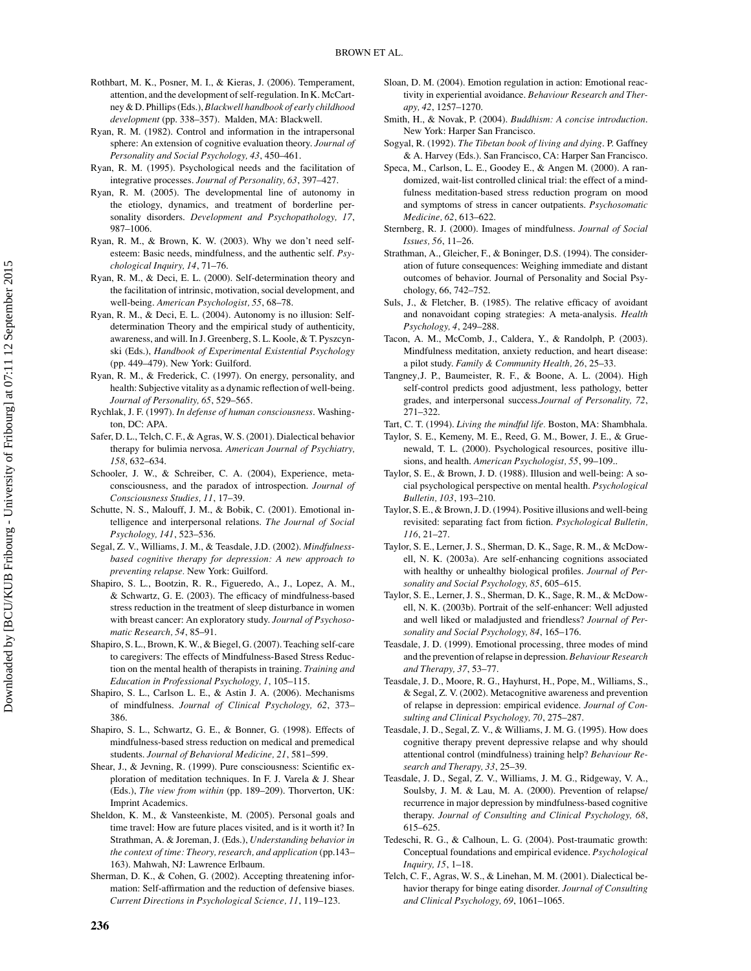- Rothbart, M. K., Posner, M. I., & Kieras, J. (2006). Temperament, attention, and the development of self-regulation. In K. McCartney & D. Phillips (Eds.), *Blackwell handbook of early childhood development* (pp. 338–357). Malden, MA: Blackwell.
- Ryan, R. M. (1982). Control and information in the intrapersonal sphere: An extension of cognitive evaluation theory. *Journal of Personality and Social Psychology, 43*, 450–461.
- Ryan, R. M. (1995). Psychological needs and the facilitation of integrative processes. *Journal of Personality, 63*, 397–427.
- Ryan, R. M. (2005). The developmental line of autonomy in the etiology, dynamics, and treatment of borderline personality disorders. *Development and Psychopathology, 17*, 987–1006.
- Ryan, R. M., & Brown, K. W. (2003). Why we don't need selfesteem: Basic needs, mindfulness, and the authentic self. *Psychological Inquiry, 14*, 71–76.
- Ryan, R. M., & Deci, E. L. (2000). Self-determination theory and the facilitation of intrinsic, motivation, social development, and well-being. *American Psychologist, 55*, 68–78.
- Ryan, R. M., & Deci, E. L. (2004). Autonomy is no illusion: Selfdetermination Theory and the empirical study of authenticity, awareness, and will. In J. Greenberg, S. L. Koole, & T. Pyszcynski (Eds.), *Handbook of Experimental Existential Psychology* (pp. 449–479). New York: Guilford.
- Ryan, R. M., & Frederick, C. (1997). On energy, personality, and health: Subjective vitality as a dynamic reflection of well-being. *Journal of Personality, 65*, 529–565.
- Rychlak, J. F. (1997). *In defense of human consciousness*. Washington, DC: APA.
- Safer, D. L., Telch, C. F., & Agras, W. S. (2001). Dialectical behavior therapy for bulimia nervosa. *American Journal of Psychiatry, 158*, 632–634.
- Schooler, J. W., & Schreiber, C. A. (2004), Experience, metaconsciousness, and the paradox of introspection. *Journal of Consciousness Studies, 11*, 17–39.
- Schutte, N. S., Malouff, J. M., & Bobik, C. (2001). Emotional intelligence and interpersonal relations. *The Journal of Social Psychology, 141*, 523–536.
- Segal, Z. V., Williams, J. M., & Teasdale, J.D. (2002). *Mindfulnessbased cognitive therapy for depression: A new approach to preventing relapse.* New York: Guilford.
- Shapiro, S. L., Bootzin, R. R., Figueredo, A., J., Lopez, A. M., & Schwartz, G. E. (2003). The efficacy of mindfulness-based stress reduction in the treatment of sleep disturbance in women with breast cancer: An exploratory study. *Journal of Psychosomatic Research, 54*, 85–91.
- Shapiro, S. L., Brown, K. W., & Biegel, G. (2007). Teaching self-care to caregivers: The effects of Mindfulness-Based Stress Reduction on the mental health of therapists in training. *Training and Education in Professional Psychology, 1*, 105–115.
- Shapiro, S. L., Carlson L. E., & Astin J. A. (2006). Mechanisms of mindfulness. *Journal of Clinical Psychology, 62*, 373– 386.
- Shapiro, S. L., Schwartz, G. E., & Bonner, G. (1998). Effects of mindfulness-based stress reduction on medical and premedical students. *Journal of Behavioral Medicine, 21*, 581–599.
- Shear, J., & Jevning, R. (1999). Pure consciousness: Scientific exploration of meditation techniques. In F. J. Varela & J. Shear (Eds.), *The view from within* (pp. 189–209). Thorverton, UK: Imprint Academics.
- Sheldon, K. M., & Vansteenkiste, M. (2005). Personal goals and time travel: How are future places visited, and is it worth it? In Strathman, A. & Joreman, J. (Eds.), *Understanding behavior in the context of time: Theory, research, and application* (pp.143– 163). Mahwah, NJ: Lawrence Erlbaum.
- Sherman, D. K., & Cohen, G. (2002). Accepting threatening information: Self-affirmation and the reduction of defensive biases. *Current Directions in Psychological Science, 11*, 119–123.
- Sloan, D. M. (2004). Emotion regulation in action: Emotional reactivity in experiential avoidance. *Behaviour Research and Therapy, 42*, 1257–1270.
- Smith, H., & Novak, P. (2004). *Buddhism: A concise introduction*. New York: Harper San Francisco.
- Sogyal, R. (1992). *The Tibetan book of living and dying*. P. Gaffney & A. Harvey (Eds.). San Francisco, CA: Harper San Francisco.
- Speca, M., Carlson, L. E., Goodey E., & Angen M. (2000). A randomized, wait-list controlled clinical trial: the effect of a mindfulness meditation-based stress reduction program on mood and symptoms of stress in cancer outpatients. *Psychosomatic Medicine, 62*, 613–622.
- Sternberg, R. J. (2000). Images of mindfulness. *Journal of Social Issues, 56*, 11–26.
- Strathman, A., Gleicher, F., & Boninger, D.S. (1994). The consideration of future consequences: Weighing immediate and distant outcomes of behavior. Journal of Personality and Social Psychology, 66, 742–752.
- Suls, J., & Fletcher, B. (1985). The relative efficacy of avoidant and nonavoidant coping strategies: A meta-analysis. *Health Psychology, 4*, 249–288.
- Tacon, A. M., McComb, J., Caldera, Y., & Randolph, P. (2003). Mindfulness meditation, anxiety reduction, and heart disease: a pilot study. *Family & Community Health, 26*, 25–33.
- Tangney*,*J. P., Baumeister, R. F., & Boone, A. L. (2004). High self-control predicts good adjustment, less pathology, better grades, and interpersonal success.*Journal of Personality, 72*, 271–322.
- Tart, C. T. (1994). *Living the mindful life.* Boston, MA: Shambhala.
- Taylor, S. E., Kemeny, M. E., Reed, G. M., Bower, J. E., & Gruenewald, T. L. (2000). Psychological resources, positive illusions, and health. *American Psychologist, 55*, 99–109..
- Taylor, S. E., & Brown, J. D. (1988). Illusion and well-being: A social psychological perspective on mental health. *Psychological Bulletin, 103*, 193–210.
- Taylor, S. E., & Brown, J. D. (1994). Positive illusions and well-being revisited: separating fact from fiction. *Psychological Bulletin, 116*, 21–27.
- Taylor, S. E., Lerner, J. S., Sherman, D. K., Sage, R. M., & McDowell, N. K. (2003a). Are self-enhancing cognitions associated with healthy or unhealthy biological profiles. *Journal of Personality and Social Psychology, 85*, 605–615.
- Taylor, S. E., Lerner, J. S., Sherman, D. K., Sage, R. M., & McDowell, N. K. (2003b). Portrait of the self-enhancer: Well adjusted and well liked or maladjusted and friendless? *Journal of Personality and Social Psychology, 84*, 165–176.
- Teasdale, J. D. (1999). Emotional processing, three modes of mind and the prevention of relapse in depression. *Behaviour Research and Therapy, 37*, 53–77.
- Teasdale, J. D., Moore, R. G., Hayhurst, H., Pope, M., Williams, S., & Segal, Z. V. (2002). Metacognitive awareness and prevention of relapse in depression: empirical evidence. *Journal of Consulting and Clinical Psychology, 70*, 275–287.
- Teasdale, J. D., Segal, Z. V., & Williams, J. M. G. (1995). How does cognitive therapy prevent depressive relapse and why should attentional control (mindfulness) training help? *Behaviour Research and Therapy, 33*, 25–39.
- Teasdale, J. D., Segal, Z. V., Williams, J. M. G., Ridgeway, V. A., Soulsby, J. M. & Lau, M. A. (2000). Prevention of relapse/ recurrence in major depression by mindfulness-based cognitive therapy. *Journal of Consulting and Clinical Psychology, 68*, 615–625.
- Tedeschi, R. G., & Calhoun, L. G. (2004). Post-traumatic growth: Conceptual foundations and empirical evidence. *Psychological Inquiry, 15*, 1–18.
- Telch, C. F., Agras, W. S., & Linehan, M. M. (2001). Dialectical behavior therapy for binge eating disorder. *Journal of Consulting and Clinical Psychology, 69*, 1061–1065.